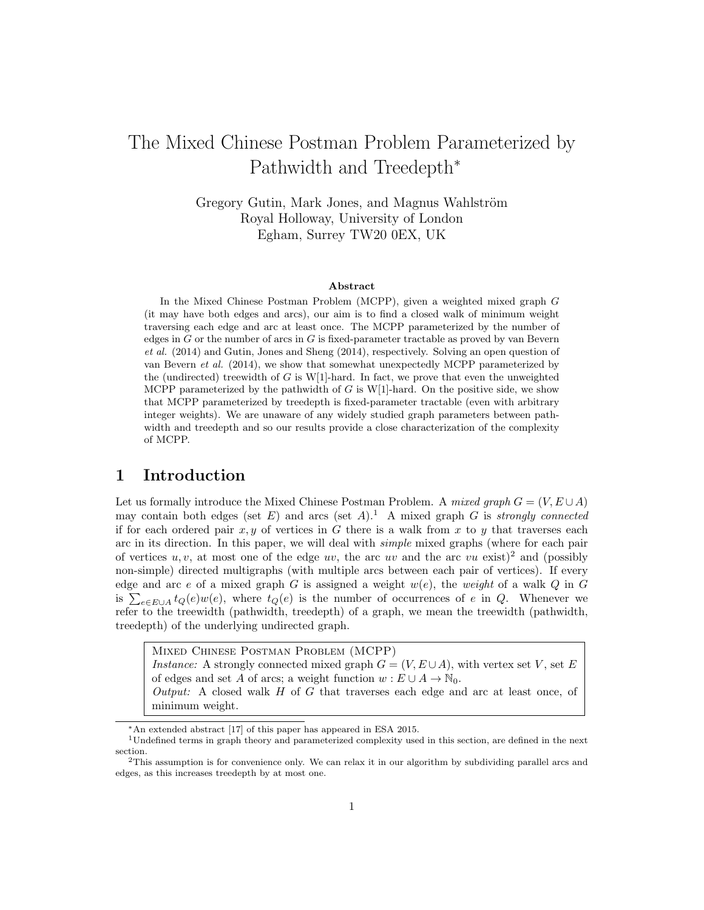# The Mixed Chinese Postman Problem Parameterized by Pathwidth and Treedepth<sup>∗</sup>

Gregory Gutin, Mark Jones, and Magnus Wahlström Royal Holloway, University of London Egham, Surrey TW20 0EX, UK

#### Abstract

In the Mixed Chinese Postman Problem (MCPP), given a weighted mixed graph G (it may have both edges and arcs), our aim is to find a closed walk of minimum weight traversing each edge and arc at least once. The MCPP parameterized by the number of edges in  $G$  or the number of arcs in  $G$  is fixed-parameter tractable as proved by van Bevern et al. (2014) and Gutin, Jones and Sheng (2014), respectively. Solving an open question of van Bevern et al. (2014), we show that somewhat unexpectedly MCPP parameterized by the (undirected) treewidth of G is  $W[1]$ -hard. In fact, we prove that even the unweighted MCPP parameterized by the pathwidth of  $G$  is W[1]-hard. On the positive side, we show that MCPP parameterized by treedepth is fixed-parameter tractable (even with arbitrary integer weights). We are unaware of any widely studied graph parameters between pathwidth and treedepth and so our results provide a close characterization of the complexity of MCPP.

### 1 Introduction

Let us formally introduce the Mixed Chinese Postman Problem. A mixed graph  $G = (V, E \cup A)$ may contain both edges (set E) and arcs (set A).<sup>1</sup> A mixed graph G is strongly connected if for each ordered pair  $x, y$  of vertices in G there is a walk from x to y that traverses each arc in its direction. In this paper, we will deal with simple mixed graphs (where for each pair of vertices u, v, at most one of the edge uv, the arc uv and the arc vu exist)<sup>2</sup> and (possibly non-simple) directed multigraphs (with multiple arcs between each pair of vertices). If every edge and arc e of a mixed graph G is assigned a weight  $w(e)$ , the weight of a walk Q in G is  $\sum_{e \in E \cup A} t_Q(e)w(e)$ , where  $t_Q(e)$  is the number of occurrences of e in Q. Whenever we refer to the treewidth (pathwidth, treedepth) of a graph, we mean the treewidth (pathwidth, treedepth) of the underlying undirected graph.

Mixed Chinese Postman Problem (MCPP) Instance: A strongly connected mixed graph  $G = (V, E \cup A)$ , with vertex set V, set E of edges and set A of arcs; a weight function  $w : E \cup A \to \mathbb{N}_0$ . Output: A closed walk  $H$  of  $G$  that traverses each edge and arc at least once, of minimum weight.

<sup>∗</sup>An extended abstract [17] of this paper has appeared in ESA 2015.

<sup>1</sup>Undefined terms in graph theory and parameterized complexity used in this section, are defined in the next section.

 $2$ This assumption is for convenience only. We can relax it in our algorithm by subdividing parallel arcs and edges, as this increases treedepth by at most one.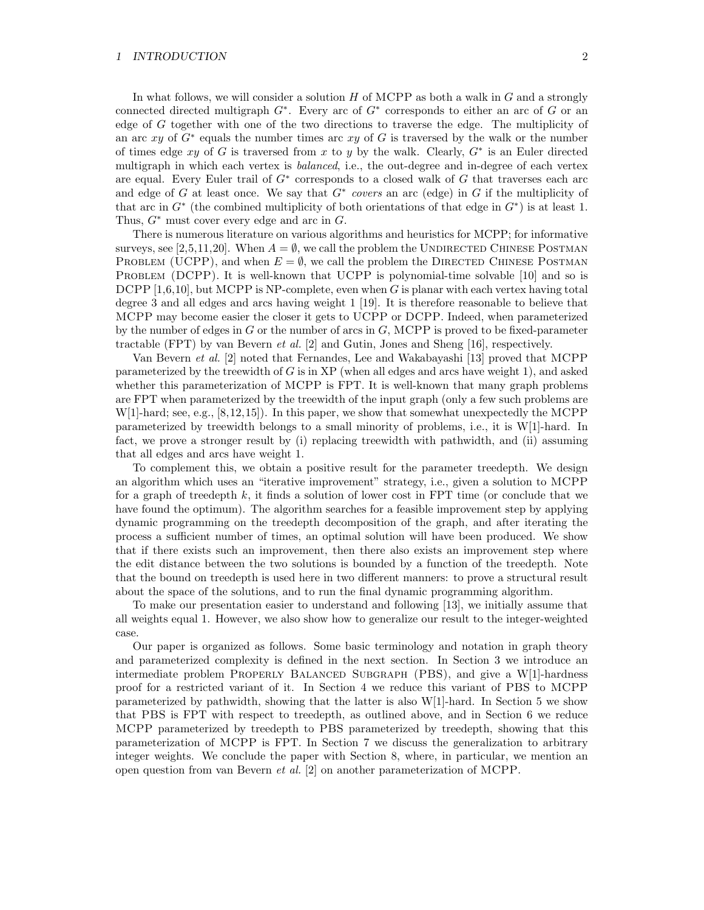In what follows, we will consider a solution  $H$  of MCPP as both a walk in  $G$  and a strongly connected directed multigraph  $G^*$ . Every arc of  $G^*$  corresponds to either an arc of G or an edge of G together with one of the two directions to traverse the edge. The multiplicity of an arc xy of  $G^*$  equals the number times arc xy of G is traversed by the walk or the number of times edge xy of G is traversed from x to y by the walk. Clearly,  $G^*$  is an Euler directed multigraph in which each vertex is *balanced*, i.e., the out-degree and in-degree of each vertex are equal. Every Euler trail of  $G^*$  corresponds to a closed walk of G that traverses each arc and edge of G at least once. We say that  $G^*$  covers an arc (edge) in G if the multiplicity of that arc in  $G^*$  (the combined multiplicity of both orientations of that edge in  $G^*$ ) is at least 1. Thus,  $G^*$  must cover every edge and arc in  $G$ .

There is numerous literature on various algorithms and heuristics for MCPP; for informative surveys, see [2,5,11,20]. When  $A = \emptyset$ , we call the problem the UNDIRECTED CHINESE POSTMAN PROBLEM (UCPP), and when  $E = \emptyset$ , we call the problem the DIRECTED CHINESE POSTMAN PROBLEM (DCPP). It is well-known that UCPP is polynomial-time solvable [10] and so is DCPP  $[1,6,10]$ , but MCPP is NP-complete, even when G is planar with each vertex having total degree 3 and all edges and arcs having weight 1 [19]. It is therefore reasonable to believe that MCPP may become easier the closer it gets to UCPP or DCPP. Indeed, when parameterized by the number of edges in  $G$  or the number of arcs in  $G$ , MCPP is proved to be fixed-parameter tractable (FPT) by van Bevern et al.  $[2]$  and Gutin, Jones and Sheng  $[16]$ , respectively.

Van Bevern et al. [2] noted that Fernandes, Lee and Wakabayashi [13] proved that MCPP parameterized by the treewidth of G is in XP (when all edges and arcs have weight 1), and asked whether this parameterization of MCPP is FPT. It is well-known that many graph problems are FPT when parameterized by the treewidth of the input graph (only a few such problems are W[1]-hard; see, e.g., [8,12,15]). In this paper, we show that somewhat unexpectedly the MCPP parameterized by treewidth belongs to a small minority of problems, i.e., it is W[1]-hard. In fact, we prove a stronger result by (i) replacing treewidth with pathwidth, and (ii) assuming that all edges and arcs have weight 1.

To complement this, we obtain a positive result for the parameter treedepth. We design an algorithm which uses an "iterative improvement" strategy, i.e., given a solution to MCPP for a graph of treedepth  $k$ , it finds a solution of lower cost in FPT time (or conclude that we have found the optimum). The algorithm searches for a feasible improvement step by applying dynamic programming on the treedepth decomposition of the graph, and after iterating the process a sufficient number of times, an optimal solution will have been produced. We show that if there exists such an improvement, then there also exists an improvement step where the edit distance between the two solutions is bounded by a function of the treedepth. Note that the bound on treedepth is used here in two different manners: to prove a structural result about the space of the solutions, and to run the final dynamic programming algorithm.

To make our presentation easier to understand and following [13], we initially assume that all weights equal 1. However, we also show how to generalize our result to the integer-weighted case.

Our paper is organized as follows. Some basic terminology and notation in graph theory and parameterized complexity is defined in the next section. In Section 3 we introduce an intermediate problem PROPERLY BALANCED SUBGRAPH (PBS), and give a W[1]-hardness proof for a restricted variant of it. In Section 4 we reduce this variant of PBS to MCPP parameterized by pathwidth, showing that the latter is also W[1]-hard. In Section 5 we show that PBS is FPT with respect to treedepth, as outlined above, and in Section 6 we reduce MCPP parameterized by treedepth to PBS parameterized by treedepth, showing that this parameterization of MCPP is FPT. In Section 7 we discuss the generalization to arbitrary integer weights. We conclude the paper with Section 8, where, in particular, we mention an open question from van Bevern et al. [2] on another parameterization of MCPP.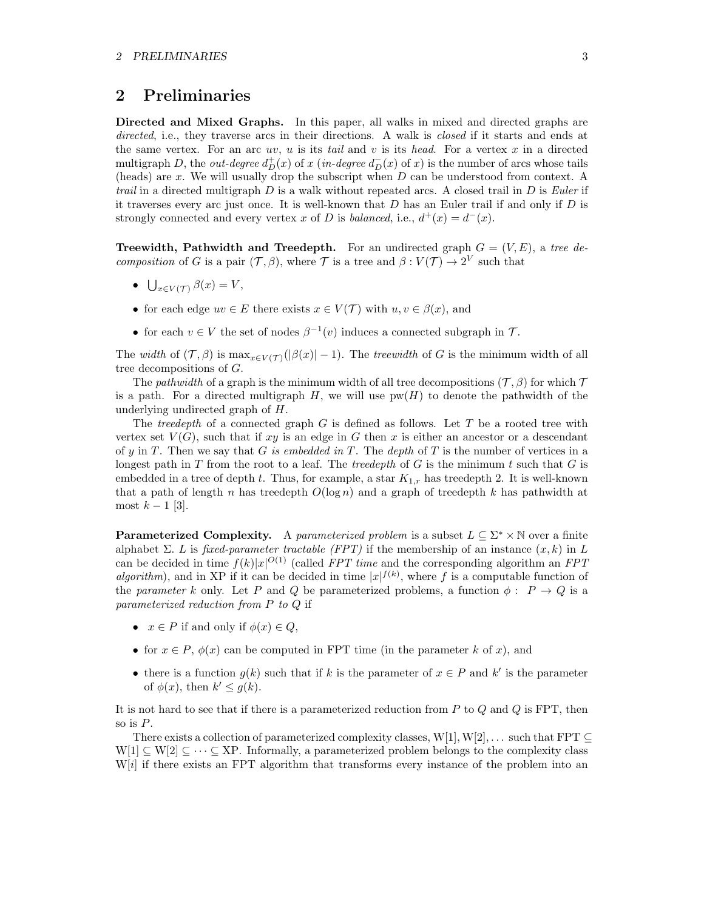### 2 Preliminaries

Directed and Mixed Graphs. In this paper, all walks in mixed and directed graphs are directed, i.e., they traverse arcs in their directions. A walk is *closed* if it starts and ends at the same vertex. For an arc  $uv, u$  is its tail and  $v$  is its head. For a vertex  $x$  in a directed multigraph D, the *out-degree*  $d_D^+(x)$  of x (*in-degree*  $d_D^-(x)$  of x) is the number of arcs whose tails (heads) are  $x$ . We will usually drop the subscript when  $D$  can be understood from context. A trail in a directed multigraph  $D$  is a walk without repeated arcs. A closed trail in  $D$  is Euler if it traverses every arc just once. It is well-known that  $D$  has an Euler trail if and only if  $D$  is strongly connected and every vertex x of D is balanced, i.e.,  $d^+(x) = d^-(x)$ .

**Treewidth, Pathwidth and Treedepth.** For an undirected graph  $G = (V, E)$ , a tree decomposition of G is a pair  $(\mathcal{T}, \beta)$ , where T is a tree and  $\beta : V(\mathcal{T}) \to 2^V$  such that

- $\bigcup_{x \in V(\mathcal{T})} \beta(x) = V,$
- for each edge  $uv \in E$  there exists  $x \in V(\mathcal{T})$  with  $u, v \in \beta(x)$ , and
- for each  $v \in V$  the set of nodes  $\beta^{-1}(v)$  induces a connected subgraph in  $\mathcal{T}$ .

The width of  $(\mathcal{T}, \beta)$  is  $\max_{x \in V(\mathcal{T})}(|\beta(x)| - 1)$ . The treewidth of G is the minimum width of all tree decompositions of G.

The pathwidth of a graph is the minimum width of all tree decompositions  $(\mathcal{T}, \beta)$  for which  $\mathcal T$ is a path. For a directed multigraph  $H$ , we will use  $pw(H)$  to denote the pathwidth of the underlying undirected graph of H.

The treedepth of a connected graph  $G$  is defined as follows. Let  $T$  be a rooted tree with vertex set  $V(G)$ , such that if xy is an edge in G then x is either an ancestor or a descendant of y in T. Then we say that G is embedded in T. The depth of T is the number of vertices in a longest path in T from the root to a leaf. The *treedepth* of G is the minimum t such that G is embedded in a tree of depth t. Thus, for example, a star  $K_{1,r}$  has treedepth 2. It is well-known that a path of length n has treedepth  $O(\log n)$  and a graph of treedepth k has pathwidth at most  $k - 1$  [3].

**Parameterized Complexity.** A parameterized problem is a subset  $L \subseteq \Sigma^* \times \mathbb{N}$  over a finite alphabet Σ. L is fixed-parameter tractable (FPT) if the membership of an instance  $(x, k)$  in L can be decided in time  $f(k)|x|^{O(1)}$  (called FPT time and the corresponding algorithm an FPT *algorithm*), and in XP if it can be decided in time  $|x|^{f(k)}$ , where f is a computable function of the parameter k only. Let P and Q be parameterized problems, a function  $\phi: P \to Q$  is a parameterized reduction from P to Q if

- $x \in P$  if and only if  $\phi(x) \in Q$ ,
- for  $x \in P$ ,  $\phi(x)$  can be computed in FPT time (in the parameter k of x), and
- there is a function  $g(k)$  such that if k is the parameter of  $x \in P$  and k' is the parameter of  $\phi(x)$ , then  $k' \leq g(k)$ .

It is not hard to see that if there is a parameterized reduction from  $P$  to  $Q$  and  $Q$  is FPT, then so is  $P$ .

There exists a collection of parameterized complexity classes,  $W[1], W[2], \ldots$  such that FPT  $\subseteq$  $W[1] \subseteq W[2] \subseteq \cdots \subseteq XP$ . Informally, a parameterized problem belongs to the complexity class  $W[i]$  if there exists an FPT algorithm that transforms every instance of the problem into an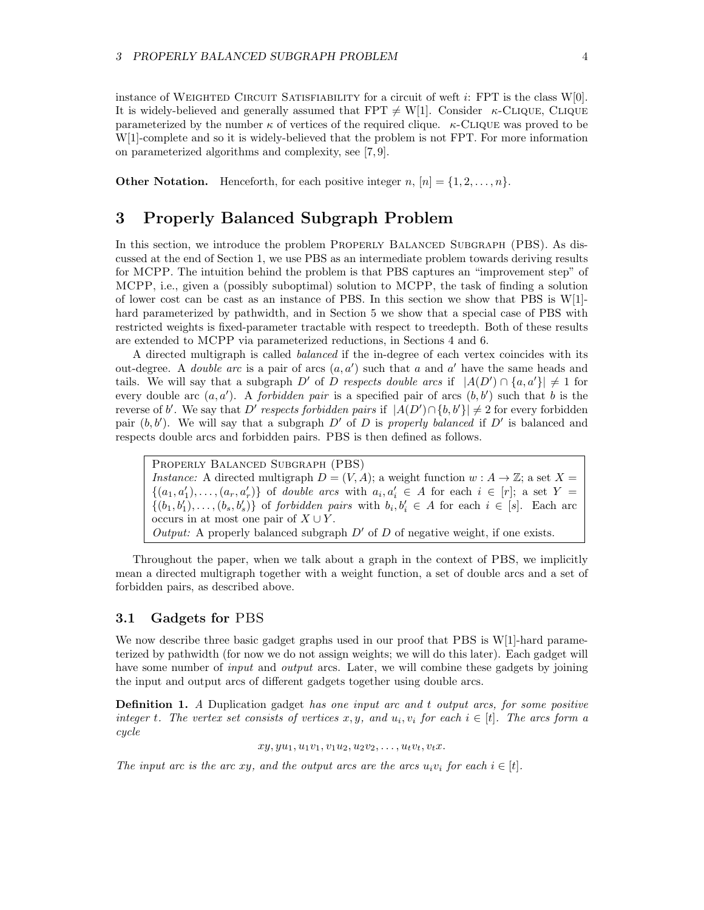instance of WEIGHTED CIRCUIT SATISFIABILITY for a circuit of weft i: FPT is the class  $W[0]$ . It is widely-believed and generally assumed that FPT  $\neq$  W[1]. Consider  $\kappa$ -CLIQUE, CLIQUE parameterized by the number  $\kappa$  of vertices of the required clique.  $\kappa$ -CLIQUE was proved to be W[1]-complete and so it is widely-believed that the problem is not FPT. For more information on parameterized algorithms and complexity, see [7, 9].

**Other Notation.** Henceforth, for each positive integer  $n, [n] = \{1, 2, ..., n\}$ .

### 3 Properly Balanced Subgraph Problem

In this section, we introduce the problem PROPERLY BALANCED SUBGRAPH (PBS). As discussed at the end of Section 1, we use PBS as an intermediate problem towards deriving results for MCPP. The intuition behind the problem is that PBS captures an "improvement step" of MCPP, i.e., given a (possibly suboptimal) solution to MCPP, the task of finding a solution of lower cost can be cast as an instance of PBS. In this section we show that PBS is W[1] hard parameterized by pathwidth, and in Section 5 we show that a special case of PBS with restricted weights is fixed-parameter tractable with respect to treedepth. Both of these results are extended to MCPP via parameterized reductions, in Sections 4 and 6.

A directed multigraph is called balanced if the in-degree of each vertex coincides with its out-degree. A *double arc* is a pair of arcs  $(a, a')$  such that a and a' have the same heads and tails. We will say that a subgraph D' of D respects double arcs if  $|A(D') \cap \{a,a'\}| \neq 1$  for every double arc  $(a, a')$ . A *forbidden pair* is a specified pair of arcs  $(b, b')$  such that b is the reverse of b'. We say that D' respects forbidden pairs if  $|A(D') \cap \{b, b'\}| \neq 2$  for every forbidden pair  $(b, b')$ . We will say that a subgraph D' of D is properly balanced if D' is balanced and respects double arcs and forbidden pairs. PBS is then defined as follows.

Properly Balanced Subgraph (PBS) Instance: A directed multigraph  $D = (V, A)$ ; a weight function  $w : A \to \mathbb{Z}$ ; a set  $X =$  $\{(a_1, a'_1), \ldots, (a_r, a'_r)\}\$  of *double arcs* with  $a_i, a'_i \in A$  for each  $i \in [r]$ ; a set  $Y =$  $\{(b_1, b'_1), \ldots, (b_s, b'_s)\}\$  of *forbidden pairs* with  $b_i, b'_i \in A$  for each  $i \in [s]$ . Each arc occurs in at most one pair of  $X \cup Y$ . Output: A properly balanced subgraph  $D'$  of  $D$  of negative weight, if one exists.

Throughout the paper, when we talk about a graph in the context of PBS, we implicitly mean a directed multigraph together with a weight function, a set of double arcs and a set of forbidden pairs, as described above.

#### 3.1 Gadgets for PBS

We now describe three basic gadget graphs used in our proof that PBS is W[1]-hard parameterized by pathwidth (for now we do not assign weights; we will do this later). Each gadget will have some number of *input* and *output* arcs. Later, we will combine these gadgets by joining the input and output arcs of different gadgets together using double arcs.

**Definition 1.** A Duplication gadget has one input arc and t output arcs, for some positive integer t. The vertex set consists of vertices x, y, and  $u_i, v_i$  for each  $i \in [t]$ . The arcs form a cycle

 $xy, yu_1, u_1v_1, v_1u_2, u_2v_2, \ldots, u_tv_t, v_tx.$ 

The input arc is the arc xy, and the output arcs are the arcs  $u_i v_i$  for each  $i \in [t]$ .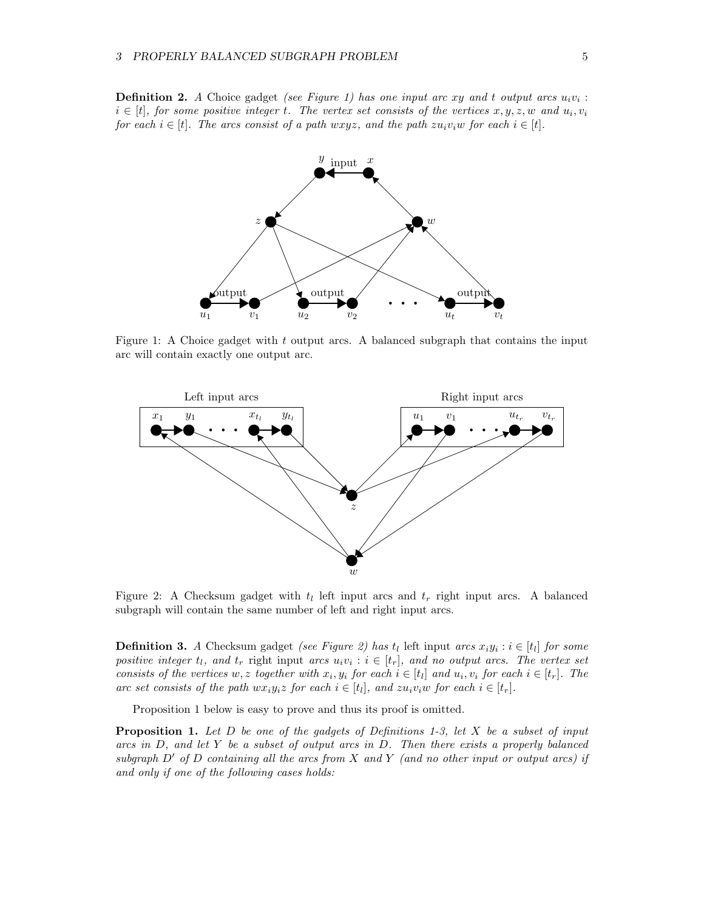**Definition 2.** A Choice gadget (see Figure 1) has one input arc xy and t output arcs  $u_i v_i$ :  $i \in [t]$ , for some positive integer t. The vertex set consists of the vertices  $x, y, z, w$  and  $u_i, v_i$ for each  $i \in [t]$ . The arcs consist of a path wxyz, and the path zu<sub>i</sub>v<sub>i</sub>w for each  $i \in [t]$ .



Figure 1: A Choice gadget with  $t$  output arcs. A balanced subgraph that contains the input arc will contain exactly one output arc.



Figure 2: A Checksum gadget with  $t_l$  left input arcs and  $t_r$  right input arcs. A balanced subgraph will contain the same number of left and right input arcs.

**Definition 3.** A Checksum gadget *(see Figure 2)* has  $t_l$  left input arcs  $x_i y_i : i \in [t_l]$  for some positive integer  $t_l$ , and  $t_r$  right input arcs  $u_i v_i : i \in [t_r]$ , and no output arcs. The vertex set consists of the vertices  $w, z$  together with  $x_i, y_i$  for each  $i \in [t_1]$  and  $u_i, v_i$  for each  $i \in [t_r]$ . The arc set consists of the path  $wx_iy_iz$  for each  $i \in [t_l]$ , and  $zu_iv_iw$  for each  $i \in [t_r]$ .

Proposition 1 below is easy to prove and thus its proof is omitted.

**Proposition 1.** Let  $D$  be one of the gadgets of Definitions 1-3, let  $X$  be a subset of input arcs in  $D$ , and let  $Y$  be a subset of output arcs in  $D$ . Then there exists a properly balanced subgraph  $D'$  of D containing all the arcs from X and Y (and no other input or output arcs) if and only if one of the following cases holds: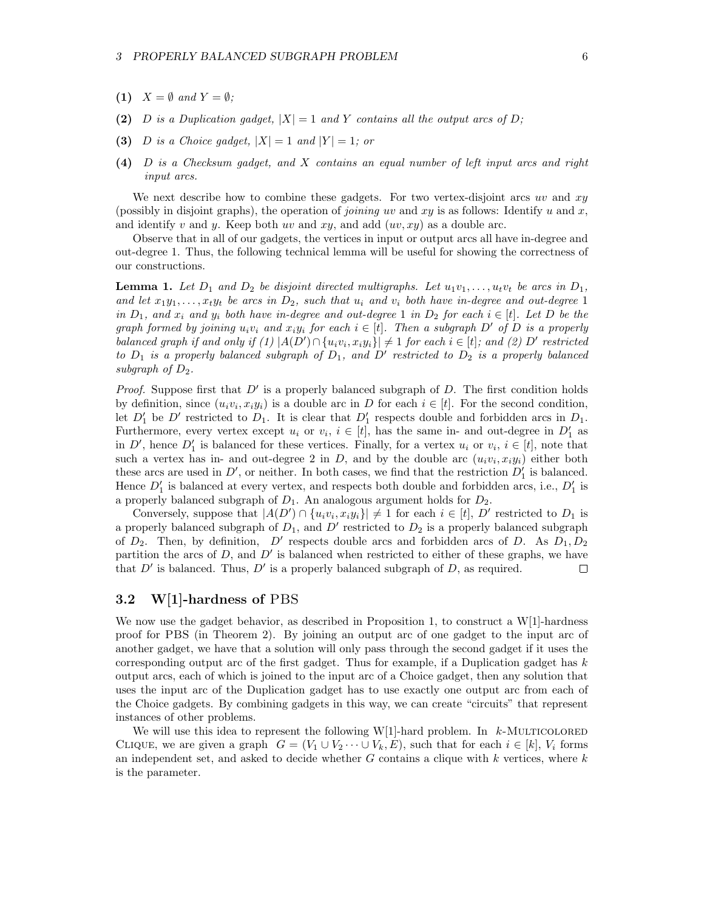- (1)  $X = \emptyset$  and  $Y = \emptyset$ ;
- (2) D is a Duplication gadget,  $|X| = 1$  and Y contains all the output arcs of D;
- (3) D is a Choice gadget,  $|X| = 1$  and  $|Y| = 1$ ; or
- (4) D is a Checksum gadget, and X contains an equal number of left input arcs and right input arcs.

We next describe how to combine these gadgets. For two vertex-disjoint arcs uv and  $xy$ (possibly in disjoint graphs), the operation of joining uv and  $xy$  is as follows: Identify u and x, and identify v and y. Keep both uv and  $xy$ , and add  $(uv, xy)$  as a double arc.

Observe that in all of our gadgets, the vertices in input or output arcs all have in-degree and out-degree 1. Thus, the following technical lemma will be useful for showing the correctness of our constructions.

**Lemma 1.** Let  $D_1$  and  $D_2$  be disjoint directed multigraphs. Let  $u_1v_1, \ldots, u_tv_t$  be arcs in  $D_1$ , and let  $x_1y_1, \ldots, x_ty_t$  be arcs in  $D_2$ , such that  $u_i$  and  $v_i$  both have in-degree and out-degree 1 in  $D_1$ , and  $x_i$  and  $y_i$  both have in-degree and out-degree 1 in  $D_2$  for each  $i \in [t]$ . Let D be the graph formed by joining  $u_i v_i$  and  $x_i y_i$  for each  $i \in [t]$ . Then a subgraph D' of D is a properly balanced graph if and only if (1)  $|A(D') \cap \{u_i v_i, x_i y_i\}| \neq 1$  for each  $i \in [t]$ ; and (2) D' restricted to  $D_1$  is a properly balanced subgraph of  $D_1$ , and  $D'$  restricted to  $D_2$  is a properly balanced subgraph of  $D_2$ .

*Proof.* Suppose first that  $D'$  is a properly balanced subgraph of  $D$ . The first condition holds by definition, since  $(u_i v_i, x_i y_i)$  is a double arc in D for each  $i \in [t]$ . For the second condition, let  $D'_1$  be  $D'$  restricted to  $D_1$ . It is clear that  $D'_1$  respects double and forbidden arcs in  $D_1$ . Furthermore, every vertex except  $u_i$  or  $v_i$ ,  $i \in [t]$ , has the same in- and out-degree in  $D'_1$  as in D', hence  $D'_1$  is balanced for these vertices. Finally, for a vertex  $u_i$  or  $v_i$ ,  $i \in [t]$ , note that such a vertex has in- and out-degree 2 in D, and by the double arc  $(u_i v_i, x_i y_i)$  either both these arcs are used in  $D'$ , or neither. In both cases, we find that the restriction  $D'_1$  is balanced. Hence  $D'_1$  is balanced at every vertex, and respects both double and forbidden arcs, i.e.,  $D'_1$  is a properly balanced subgraph of  $D_1$ . An analogous argument holds for  $D_2$ .

Conversely, suppose that  $|A(D') \cap \{u_i v_i, x_i y_i\}| \neq 1$  for each  $i \in [t]$ , D' restricted to  $D_1$  is a properly balanced subgraph of  $D_1$ , and  $D'$  restricted to  $D_2$  is a properly balanced subgraph of  $D_2$ . Then, by definition, D' respects double arcs and forbidden arcs of D. As  $D_1, D_2$ partition the arcs of  $D$ , and  $D'$  is balanced when restricted to either of these graphs, we have that  $D'$  is balanced. Thus,  $D'$  is a properly balanced subgraph of  $D$ , as required.  $\Box$ 

#### 3.2 W[1]-hardness of PBS

We now use the gadget behavior, as described in Proposition 1, to construct a W[1]-hardness proof for PBS (in Theorem 2). By joining an output arc of one gadget to the input arc of another gadget, we have that a solution will only pass through the second gadget if it uses the corresponding output arc of the first gadget. Thus for example, if a Duplication gadget has  $k$ output arcs, each of which is joined to the input arc of a Choice gadget, then any solution that uses the input arc of the Duplication gadget has to use exactly one output arc from each of the Choice gadgets. By combining gadgets in this way, we can create "circuits" that represent instances of other problems.

We will use this idea to represent the following W[1]-hard problem. In  $k$ -MULTICOLORED CLIQUE, we are given a graph  $G = (V_1 \cup V_2 \cdots \cup V_k, E)$ , such that for each  $i \in [k], V_i$  forms an independent set, and asked to decide whether  $G$  contains a clique with  $k$  vertices, where  $k$ is the parameter.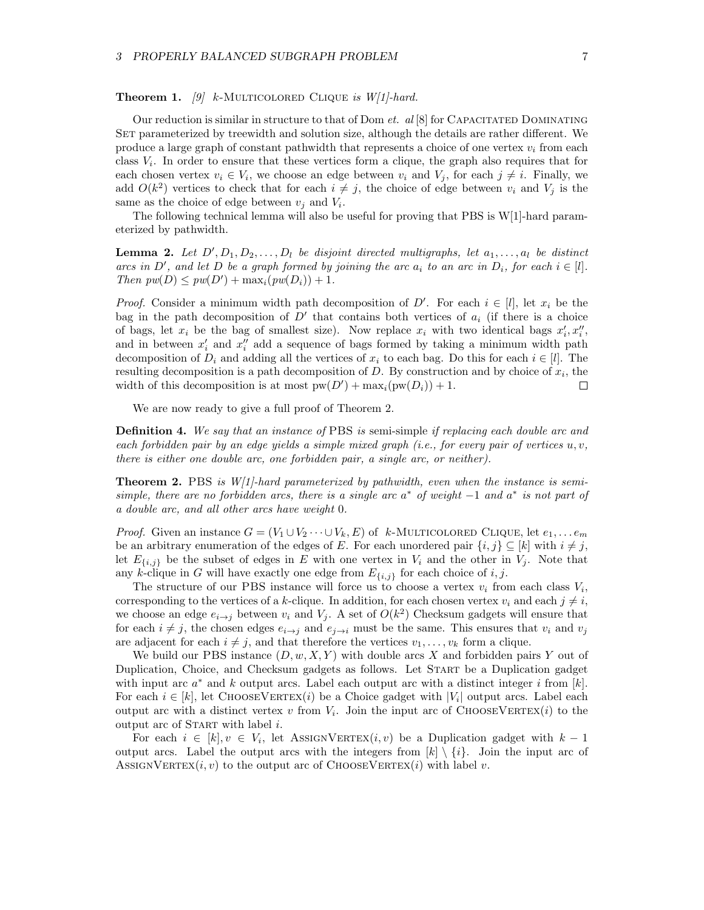**Theorem 1.** [9] k-MULTICOLORED CLIQUE is  $W[1]$ -hard.

Our reduction is similar in structure to that of Dom *et. al* [8] for CAPACITATED DOMINATING SET parameterized by treewidth and solution size, although the details are rather different. We produce a large graph of constant pathwidth that represents a choice of one vertex  $v_i$  from each class  $V_i$ . In order to ensure that these vertices form a clique, the graph also requires that for each chosen vertex  $v_i \in V_i$ , we choose an edge between  $v_i$  and  $V_j$ , for each  $j \neq i$ . Finally, we add  $O(k^2)$  vertices to check that for each  $i \neq j$ , the choice of edge between  $v_i$  and  $V_j$  is the same as the choice of edge between  $v_j$  and  $V_i$ .

The following technical lemma will also be useful for proving that PBS is W[1]-hard parameterized by pathwidth.

**Lemma 2.** Let  $D', D_1, D_2, \ldots, D_l$  be disjoint directed multigraphs, let  $a_1, \ldots, a_l$  be distinct arcs in D', and let D be a graph formed by joining the arc  $a_i$  to an arc in  $D_i$ , for each  $i \in [l]$ .  $Then \, pw(D) \leq pw(D') + \max_i (pw(D_i)) + 1.$ 

*Proof.* Consider a minimum width path decomposition of D'. For each  $i \in [l]$ , let  $x_i$  be the bag in the path decomposition of  $D'$  that contains both vertices of  $a_i$  (if there is a choice of bags, let  $x_i$  be the bag of smallest size). Now replace  $x_i$  with two identical bags  $x'_i, x''_i$ , and in between  $x_i'$  and  $x_i''$  add a sequence of bags formed by taking a minimum width path decomposition of  $D_i$  and adding all the vertices of  $x_i$  to each bag. Do this for each  $i \in [l]$ . The resulting decomposition is a path decomposition of  $D$ . By construction and by choice of  $x_i$ , the width of this decomposition is at most  $pw(D') + \max_i (pw(D_i)) + 1$ .  $\Box$ 

We are now ready to give a full proof of Theorem 2.

Definition 4. We say that an instance of PBS is semi-simple if replacing each double arc and each forbidden pair by an edge yields a simple mixed graph (i.e., for every pair of vertices  $u, v$ , there is either one double arc, one forbidden pair, a single arc, or neither).

**Theorem 2.** PBS is  $W/1$ -hard parameterized by pathwidth, even when the instance is semisimple, there are no forbidden arcs, there is a single arc  $a^*$  of weight  $-1$  and  $a^*$  is not part of a double arc, and all other arcs have weight 0.

*Proof.* Given an instance  $G = (V_1 \cup V_2 \cdots \cup V_k, E)$  of k-MULTICOLORED CLIQUE, let  $e_1, \ldots e_m$ be an arbitrary enumeration of the edges of E. For each unordered pair  $\{i, j\} \subseteq [k]$  with  $i \neq j$ , let  $E_{\{i,j\}}$  be the subset of edges in E with one vertex in  $V_i$  and the other in  $V_j$ . Note that any k-clique in G will have exactly one edge from  $E_{\{i,j\}}$  for each choice of i, j.

The structure of our PBS instance will force us to choose a vertex  $v_i$  from each class  $V_i$ , corresponding to the vertices of a k-clique. In addition, for each chosen vertex  $v_i$  and each  $j \neq i$ , we choose an edge  $e_{i\rightarrow j}$  between  $v_i$  and  $V_j$ . A set of  $O(k^2)$  Checksum gadgets will ensure that for each  $i \neq j$ , the chosen edges  $e_{i\rightarrow j}$  and  $e_{j\rightarrow i}$  must be the same. This ensures that  $v_i$  and  $v_j$ are adjacent for each  $i \neq j$ , and that therefore the vertices  $v_1, \ldots, v_k$  form a clique.

We build our PBS instance  $(D, w, X, Y)$  with double arcs X and forbidden pairs Y out of Duplication, Choice, and Checksum gadgets as follows. Let START be a Duplication gadget with input arc  $a^*$  and k output arcs. Label each output arc with a distinct integer i from [k]. For each  $i \in [k]$ , let CHOOSEVERTEX(i) be a Choice gadget with  $|V_i|$  output arcs. Label each output arc with a distinct vertex v from  $V_i$ . Join the input arc of CHOOSEVERTEX(i) to the output arc of START with label  $i$ .

For each  $i \in [k], v \in V_i$ , let ASSIGNVERTEX $(i, v)$  be a Duplication gadget with  $k-1$ output arcs. Label the output arcs with the integers from  $[k] \setminus \{i\}$ . Join the input arc of ASSIGNVERTEX $(i, v)$  to the output arc of CHOOSEVERTEX $(i)$  with label v.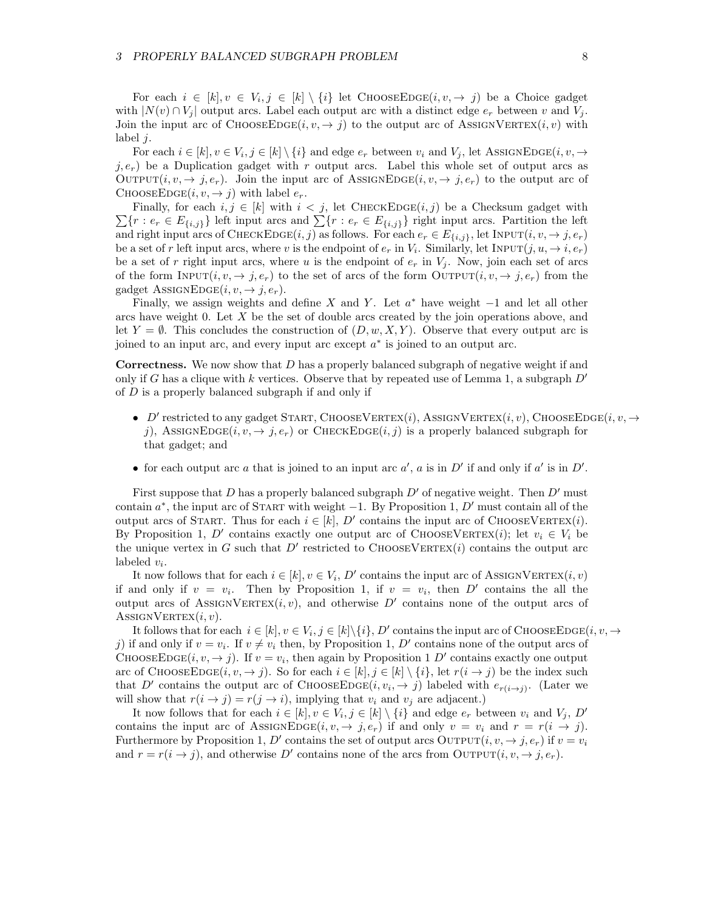For each  $i \in [k], v \in V_i, j \in [k] \setminus \{i\}$  let CHOOSEEDGE $(i, v, \rightarrow j)$  be a Choice gadget with  $|N(v) \cap V_i|$  output arcs. Label each output arc with a distinct edge  $e_r$  between v and  $V_i$ . Join the input arc of CHOOSEEDGE( $i, v, \rightarrow j$ ) to the output arc of ASSIGNVERTEX $(i, v)$  with label j.

For each  $i \in [k], v \in V_i, j \in [k] \setminus \{i\}$  and edge  $e_r$  between  $v_i$  and  $V_j$ , let AssignEDGE $(i, v, \rightarrow$  $j, e_r$ ) be a Duplication gadget with r output arcs. Label this whole set of output arcs as OUTPUT $(i, v, \rightarrow j, e_r)$ . Join the input arc of AssignEDGE $(i, v, \rightarrow j, e_r)$  to the output arc of CHOOSEEDGE $(i, v, \rightarrow j)$  with label  $e_r$ .

 $\sum \{r : e_r \in E_{\{i,j\}}\}\$ left input arcs and  $\sum \{r : e_r \in E_{\{i,j\}}\}\$ right input arcs. Partition the left Finally, for each  $i, j \in [k]$  with  $i < j$ , let CHECKEDGE $(i, j)$  be a Checksum gadget with and right input arcs of CHECKEDGE $(i, j)$  as follows. For each  $e_r \in E_{\{i, j\}}$ , let INPUT $(i, v, \rightarrow j, e_r)$ be a set of r left input arcs, where v is the endpoint of  $e_r$  in  $V_i$ . Similarly, let INPUT $(j, u, \rightarrow i, e_r)$ be a set of r right input arcs, where u is the endpoint of  $e_r$  in  $V_i$ . Now, join each set of arcs of the form  $INPUT(i, v, \rightarrow j, e_r)$  to the set of arcs of the form  $OUTPUT(i, v, \rightarrow j, e_r)$  from the gadget AssignEdge(i,  $v, \rightarrow j, e_r$ ).

Finally, we assign weights and define X and Y. Let  $a^*$  have weight  $-1$  and let all other arcs have weight 0. Let X be the set of double arcs created by the join operations above, and let  $Y = \emptyset$ . This concludes the construction of  $(D, w, X, Y)$ . Observe that every output arc is joined to an input arc, and every input arc except  $a^*$  is joined to an output arc.

Correctness. We now show that D has a properly balanced subgraph of negative weight if and only if G has a clique with k vertices. Observe that by repeated use of Lemma 1, a subgraph  $D'$ of  $D$  is a properly balanced subgraph if and only if

- D' restricted to any gadget START, CHOOSEVERTEX(i), ASSIGNVERTEX(i, v), CHOOSEEDGE(i, v,  $\rightarrow$ j), AssignEdge(i,  $v, \rightarrow j, e_r$ ) or CHECKEDGE(i, j) is a properly balanced subgraph for that gadget; and
- for each output arc a that is joined to an input arc  $a'$ , a is in D' if and only if  $a'$  is in D'.

First suppose that D has a properly balanced subgraph  $D'$  of negative weight. Then  $D'$  must contain  $a^*$ , the input arc of START with weight  $-1$ . By Proposition 1, D' must contain all of the output arcs of START. Thus for each  $i \in [k]$ , D' contains the input arc of CHOOSEVERTEX(i). By Proposition 1, D' contains exactly one output arc of CHOOSEVERTEX(i); let  $v_i \in V_i$  be the unique vertex in G such that  $D'$  restricted to CHOOSEVERTEX(i) contains the output arc labeled  $v_i$ .

It now follows that for each  $i \in [k], v \in V_i$ , D' contains the input arc of ASSIGNVERTEX $(i, v)$ if and only if  $v = v_i$ . Then by Proposition 1, if  $v = v_i$ , then D' contains the all the output arcs of ASSIGNVERTEX $(i, v)$ , and otherwise D' contains none of the output arcs of ASSIGNVERTEX $(i, v)$ .

It follows that for each  $i \in [k], v \in V_i, j \in [k] \setminus \{i\}, D'$  contains the input arc of CHOOSEEDGE $(i, v, \rightarrow$ j) if and only if  $v = v_i$ . If  $v \neq v_i$  then, by Proposition 1, D' contains none of the output arcs of CHOOSEEDGE $(i, v, \rightarrow j)$ . If  $v = v_i$ , then again by Proposition 1 D' contains exactly one output arc of CHOOSEEDGE $(i, v, \to j)$ . So for each  $i \in [k], j \in [k] \setminus \{i\}$ , let  $r(i \to j)$  be the index such that D' contains the output arc of CHOOSEEDGE $(i, v_i, \rightarrow j)$  labeled with  $e_{r(i \rightarrow j)}$ . (Later we will show that  $r(i \rightarrow j) = r(j \rightarrow i)$ , implying that  $v_i$  and  $v_j$  are adjacent.)

It now follows that for each  $i \in [k], v \in V_i, j \in [k] \setminus \{i\}$  and edge  $e_r$  between  $v_i$  and  $V_j$ ,  $D'$ contains the input arc of ASSIGNEDGE $(i, v, \rightarrow j, e_r)$  if and only  $v = v_i$  and  $r = r(i \rightarrow j)$ . Furthermore by Proposition 1, D' contains the set of output arcs  $\text{Output}(i, v, \rightarrow j, e_r)$  if  $v = v_i$ and  $r = r(i \rightarrow j)$ , and otherwise D' contains none of the arcs from  $\text{Output}(i, v, \rightarrow j, e_r)$ .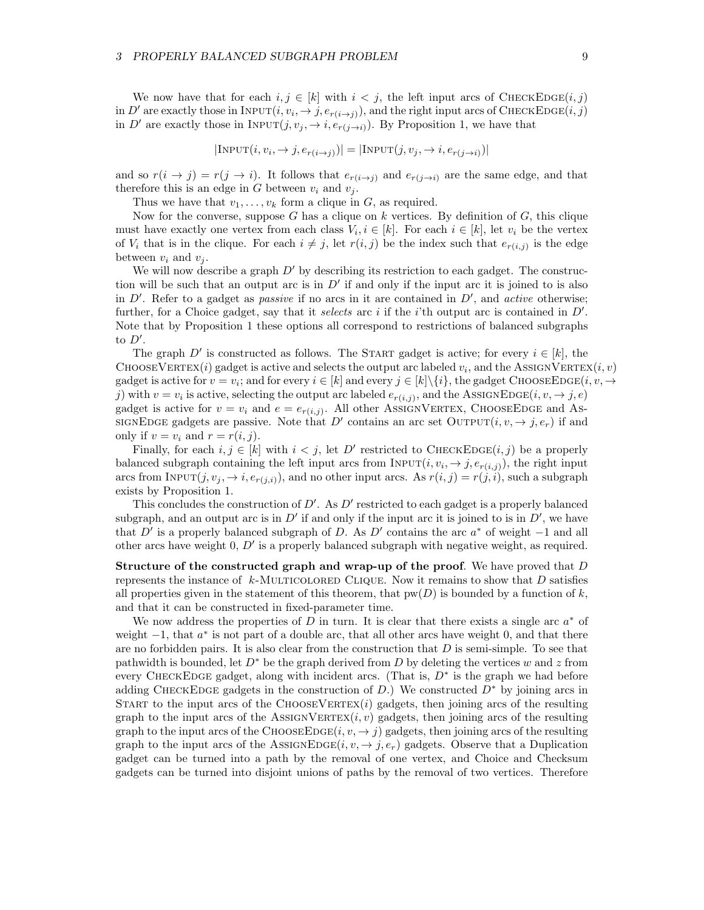We now have that for each  $i, j \in [k]$  with  $i < j$ , the left input arcs of CHECKEDGE $(i, j)$ in D' are exactly those in  $INPUT(i, v_i, \rightarrow j, e_{r(i \rightarrow j)})$ , and the right input arcs of CHECKEDGE $(i, j)$ in D' are exactly those in  $INPUT(j, v_j, \rightarrow i, e_{r(j \rightarrow i)})$ . By Proposition 1, we have that

$$
|\text{INPUT}(i, v_i, \rightarrow j, e_{r(i \rightarrow j)})| = |\text{INPUT}(j, v_j, \rightarrow i, e_{r(j \rightarrow i)})|
$$

and so  $r(i \to j) = r(j \to i)$ . It follows that  $e_{r(i \to j)}$  and  $e_{r(j \to i)}$  are the same edge, and that therefore this is an edge in G between  $v_i$  and  $v_j$ .

Thus we have that  $v_1, \ldots, v_k$  form a clique in G, as required.

Now for the converse, suppose  $G$  has a clique on  $k$  vertices. By definition of  $G$ , this clique must have exactly one vertex from each class  $V_i, i \in [k]$ . For each  $i \in [k]$ , let  $v_i$  be the vertex of  $V_i$  that is in the clique. For each  $i \neq j$ , let  $r(i, j)$  be the index such that  $e_{r(i,j)}$  is the edge between  $v_i$  and  $v_j$ .

We will now describe a graph  $D'$  by describing its restriction to each gadget. The construction will be such that an output arc is in  $D'$  if and only if the input arc it is joined to is also in  $D'$ . Refer to a gadget as *passive* if no arcs in it are contained in  $D'$ , and *active* otherwise; further, for a Choice gadget, say that it selects arc i if the i'th output arc is contained in  $D'$ . Note that by Proposition 1 these options all correspond to restrictions of balanced subgraphs to  $D'$ .

The graph D' is constructed as follows. The START gadget is active; for every  $i \in [k]$ , the CHOOSEVERTEX(i) gadget is active and selects the output arc labeled  $v_i$ , and the ASSIGNVERTEX(i, v) gadget is active for  $v = v_i$ ; and for every  $i \in [k]$  and every  $j \in [k] \setminus \{i\}$ , the gadget CHOOSEEDGE $(i, v, \rightarrow$ j) with  $v = v_i$  is active, selecting the output arc labeled  $e_{r(i,j)}$ , and the ASSIGNEDGE $(i, v, \rightarrow j, e)$ gadget is active for  $v = v_i$  and  $e = e_{r(i,j)}$ . All other ASSIGNVERTEX, CHOOSEEDGE and As-SIGNEDGE gadgets are passive. Note that D' contains an arc set  $\text{Output}(i, v, \rightarrow j, e_r)$  if and only if  $v = v_i$  and  $r = r(i, j)$ .

Finally, for each  $i, j \in [k]$  with  $i < j$ , let D' restricted to CHECKEDGE $(i, j)$  be a properly balanced subgraph containing the left input arcs from  $\text{INPUT}(i, v_i, \rightarrow j, e_{r(i,j)})$ , the right input arcs from INPUT $(j, v_j, \rightarrow i, e_{r(j,i)})$ , and no other input arcs. As  $r(i, j) = r(j, i)$ , such a subgraph exists by Proposition 1.

This concludes the construction of  $D'$ . As  $D'$  restricted to each gadget is a properly balanced subgraph, and an output arc is in  $D'$  if and only if the input arc it is joined to is in  $D'$ , we have that D' is a properly balanced subgraph of D. As D' contains the arc  $a^*$  of weight  $-1$  and all other arcs have weight  $0, D'$  is a properly balanced subgraph with negative weight, as required.

Structure of the constructed graph and wrap-up of the proof. We have proved that D represents the instance of  $k$ -MULTICOLORED CLIQUE. Now it remains to show that  $D$  satisfies all properties given in the statement of this theorem, that  $pw(D)$  is bounded by a function of k, and that it can be constructed in fixed-parameter time.

We now address the properties of  $D$  in turn. It is clear that there exists a single arc  $a^*$  of weight  $-1$ , that  $a^*$  is not part of a double arc, that all other arcs have weight 0, and that there are no forbidden pairs. It is also clear from the construction that  $D$  is semi-simple. To see that pathwidth is bounded, let  $D^*$  be the graph derived from D by deleting the vertices w and z from every CHECKEDGE gadget, along with incident arcs. (That is,  $D^*$  is the graph we had before adding CHECKEDGE gadgets in the construction of D.) We constructed  $D^*$  by joining arcs in START to the input arcs of the CHOOSEVERTEX $(i)$  gadgets, then joining arcs of the resulting graph to the input arcs of the ASSIGNVERTEX $(i, v)$  gadgets, then joining arcs of the resulting graph to the input arcs of the CHOOSEEDGE $(i, v, \rightarrow j)$  gadgets, then joining arcs of the resulting graph to the input arcs of the ASSIGNEDGE $(i, v, \rightarrow j, e_r)$  gadgets. Observe that a Duplication gadget can be turned into a path by the removal of one vertex, and Choice and Checksum gadgets can be turned into disjoint unions of paths by the removal of two vertices. Therefore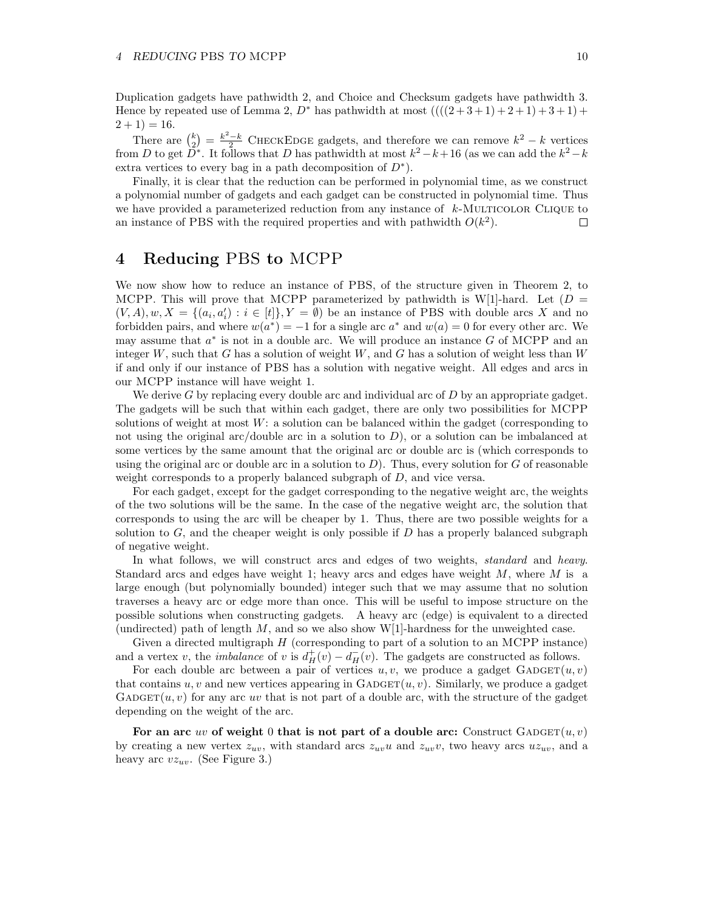Duplication gadgets have pathwidth 2, and Choice and Checksum gadgets have pathwidth 3. Hence by repeated use of Lemma 2,  $D^*$  has pathwidth at most  $(((2+3+1)+2+1)+3+1)+$  $2 + 1$ ) = 16.

There are  $\binom{k}{2} = \frac{k^2 - k}{2}$  CHECKEDGE gadgets, and therefore we can remove  $k^2 - k$  vertices from D to get  $\overline{D}^*$ . It follows that D has pathwidth at most  $k^2 - k + 16$  (as we can add the  $k^2 - k$ extra vertices to every bag in a path decomposition of  $D^*$ ).

Finally, it is clear that the reduction can be performed in polynomial time, as we construct a polynomial number of gadgets and each gadget can be constructed in polynomial time. Thus we have provided a parameterized reduction from any instance of  $k$ -MULTICOLOR CLIQUE to an instance of PBS with the required properties and with pathwidth  $O(k^2)$ .  $\Box$ 

### 4 Reducing PBS to MCPP

We now show how to reduce an instance of PBS, of the structure given in Theorem 2, to MCPP. This will prove that MCPP parameterized by pathwidth is W[1]-hard. Let  $(D =$  $(V, A), w, X = \{(a_i, a'_i) : i \in [t]\}, Y = \emptyset$  be an instance of PBS with double arcs X and no forbidden pairs, and where  $w(a^*) = -1$  for a single arc  $a^*$  and  $w(a) = 0$  for every other arc. We may assume that  $a^*$  is not in a double arc. We will produce an instance G of MCPP and an integer  $W$ , such that G has a solution of weight  $W$ , and G has a solution of weight less than  $W$ if and only if our instance of PBS has a solution with negative weight. All edges and arcs in our MCPP instance will have weight 1.

We derive G by replacing every double arc and individual arc of  $D$  by an appropriate gadget. The gadgets will be such that within each gadget, there are only two possibilities for MCPP solutions of weight at most  $W$ : a solution can be balanced within the gadget (corresponding to not using the original arc/double arc in a solution to  $D$ ), or a solution can be imbalanced at some vertices by the same amount that the original arc or double arc is (which corresponds to using the original arc or double arc in a solution to  $D$ ). Thus, every solution for  $G$  of reasonable weight corresponds to a properly balanced subgraph of D, and vice versa.

For each gadget, except for the gadget corresponding to the negative weight arc, the weights of the two solutions will be the same. In the case of the negative weight arc, the solution that corresponds to using the arc will be cheaper by 1. Thus, there are two possible weights for a solution to  $G$ , and the cheaper weight is only possible if  $D$  has a properly balanced subgraph of negative weight.

In what follows, we will construct arcs and edges of two weights, *standard* and *heavy*. Standard arcs and edges have weight 1; heavy arcs and edges have weight  $M$ , where  $M$  is a large enough (but polynomially bounded) integer such that we may assume that no solution traverses a heavy arc or edge more than once. This will be useful to impose structure on the possible solutions when constructing gadgets. A heavy arc (edge) is equivalent to a directed (undirected) path of length  $M$ , and so we also show W[1]-hardness for the unweighted case.

Given a directed multigraph H (corresponding to part of a solution to an MCPP instance) and a vertex v, the *imbalance* of v is  $d^+(v) - d^-_H(v)$ . The gadgets are constructed as follows.

For each double arc between a pair of vertices  $u, v$ , we produce a gadget  $\text{GADGET}(u, v)$ that contains u, v and new vertices appearing in  $\text{GADGET}(u, v)$ . Similarly, we produce a gadget  $GADGET(u, v)$  for any arc uv that is not part of a double arc, with the structure of the gadget depending on the weight of the arc.

For an arc uv of weight 0 that is not part of a double arc: Construct  $\text{GADGET}(u, v)$ by creating a new vertex  $z_{uv}$ , with standard arcs  $z_{uv}u$  and  $z_{uv}v$ , two heavy arcs  $uz_{uv}$ , and a heavy arc  $vz_{uv}$ . (See Figure 3.)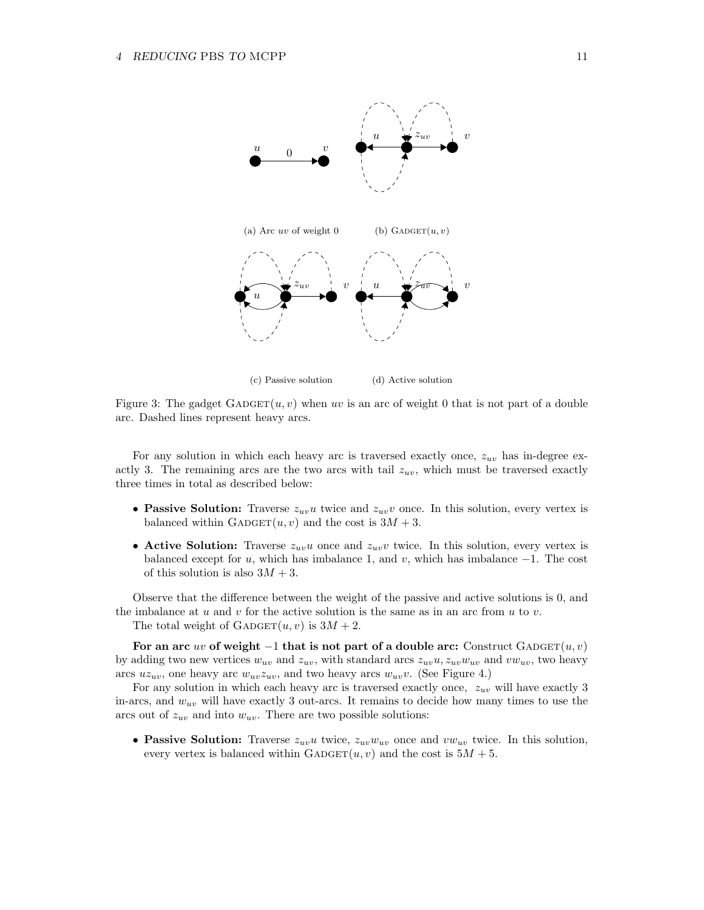

Figure 3: The gadget  $\text{GADGET}(u, v)$  when uv is an arc of weight 0 that is not part of a double

arc. Dashed lines represent heavy arcs.

For any solution in which each heavy arc is traversed exactly once,  $z_{uv}$  has in-degree exactly 3. The remaining arcs are the two arcs with tail  $z_{uv}$ , which must be traversed exactly three times in total as described below:

- Passive Solution: Traverse  $z_{uv}u$  twice and  $z_{uv}v$  once. In this solution, every vertex is balanced within  $GADGET(u, v)$  and the cost is  $3M + 3$ .
- Active Solution: Traverse  $z_{uv}u$  once and  $z_{uv}v$  twice. In this solution, every vertex is balanced except for u, which has imbalance 1, and v, which has imbalance  $-1$ . The cost of this solution is also  $3M + 3$ .

Observe that the difference between the weight of the passive and active solutions is 0, and the imbalance at  $u$  and  $v$  for the active solution is the same as in an arc from  $u$  to  $v$ .

The total weight of  $\text{GADGET}(u, v)$  is  $3M + 2$ .

For an arc uv of weight  $-1$  that is not part of a double arc: Construct GADGET $(u, v)$ by adding two new vertices  $w_{uv}$  and  $z_{uv}$ , with standard arcs  $z_{uv}u, z_{uv}w_{uv}$  and  $vw_{uv}$ , two heavy arcs  $uz_{uv}$ , one heavy arc  $w_{uv}z_{uv}$ , and two heavy arcs  $w_{uv}v$ . (See Figure 4.)

For any solution in which each heavy arc is traversed exactly once,  $z_{uv}$  will have exactly 3 in-arcs, and  $w_{uv}$  will have exactly 3 out-arcs. It remains to decide how many times to use the arcs out of  $z_{uv}$  and into  $w_{uv}$ . There are two possible solutions:

• Passive Solution: Traverse  $z_{uv}u$  twice,  $z_{uv}w_{uv}$  once and  $vw_{uv}$  twice. In this solution, every vertex is balanced within  $\text{GADGET}(u, v)$  and the cost is  $5M + 5$ .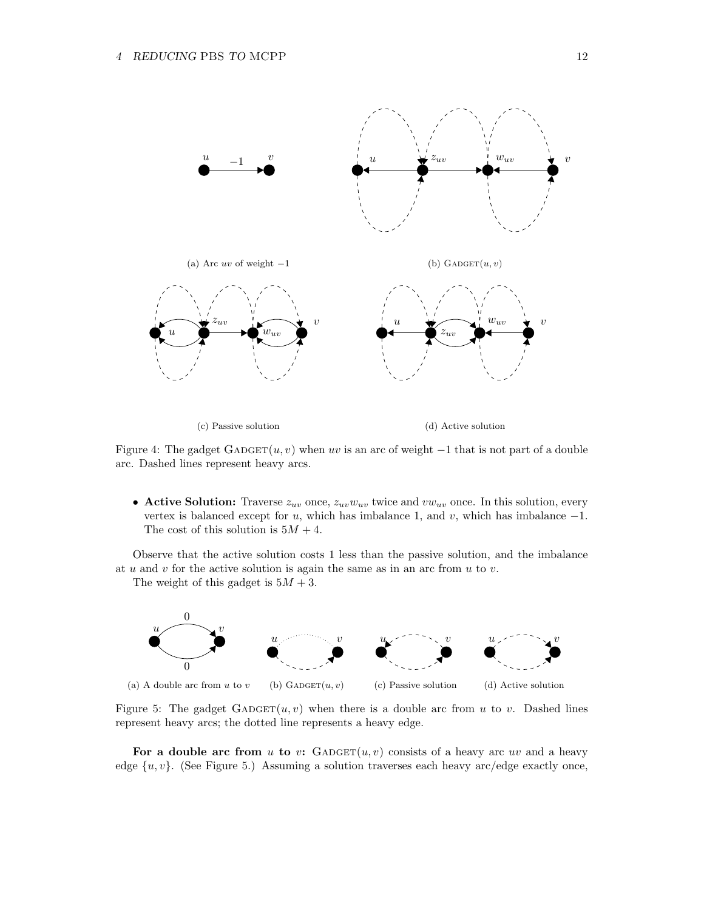

(c) Passive solution

Figure 4: The gadget GADGET $(u, v)$  when uv is an arc of weight  $-1$  that is not part of a double arc. Dashed lines represent heavy arcs.

• Active Solution: Traverse  $z_{uv}$  once,  $z_{uv}w_{uv}$  twice and  $vw_{uv}$  once. In this solution, every vertex is balanced except for u, which has imbalance 1, and v, which has imbalance  $-1$ . The cost of this solution is  $5M + 4$ .

Observe that the active solution costs 1 less than the passive solution, and the imbalance at  $u$  and  $v$  for the active solution is again the same as in an arc from  $u$  to  $v$ .

The weight of this gadget is  $5M + 3$ .



Figure 5: The gadget  $\text{GADGET}(u, v)$  when there is a double arc from u to v. Dashed lines represent heavy arcs; the dotted line represents a heavy edge.

For a double arc from u to v:  $GABGET(u, v)$  consists of a heavy arc uv and a heavy edge  $\{u, v\}$ . (See Figure 5.) Assuming a solution traverses each heavy arc/edge exactly once,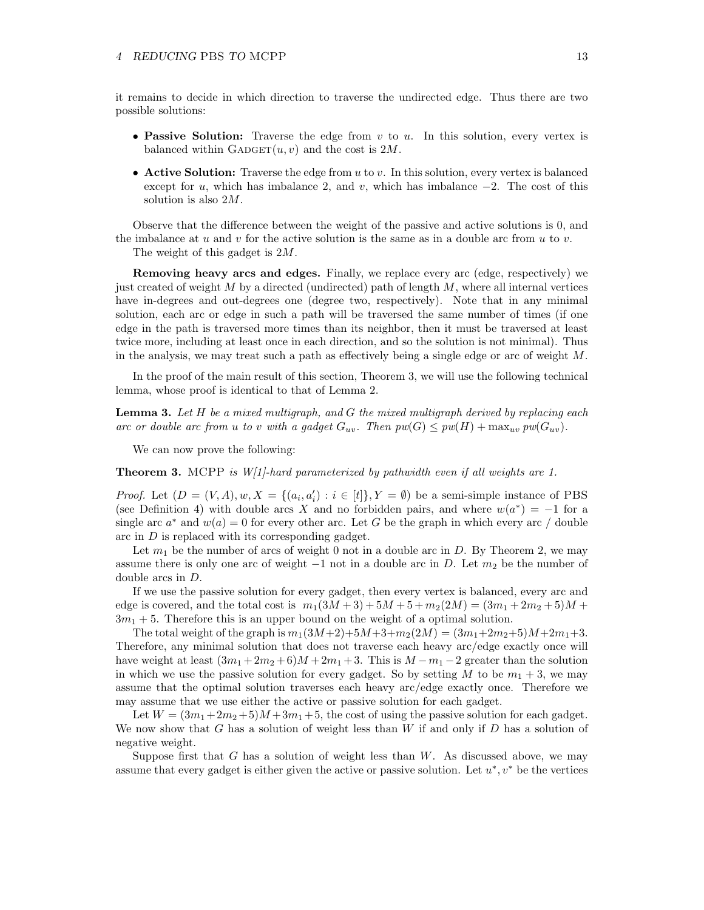it remains to decide in which direction to traverse the undirected edge. Thus there are two possible solutions:

- **Passive Solution:** Traverse the edge from  $v$  to  $u$ . In this solution, every vertex is balanced within  $\text{GADGET}(u, v)$  and the cost is  $2M$ .
- Active Solution: Traverse the edge from  $u$  to  $v$ . In this solution, every vertex is balanced except for u, which has imbalance 2, and v, which has imbalance  $-2$ . The cost of this solution is also 2M.

Observe that the difference between the weight of the passive and active solutions is 0, and the imbalance at  $u$  and  $v$  for the active solution is the same as in a double arc from  $u$  to  $v$ .

The weight of this gadget is 2M.

Removing heavy arcs and edges. Finally, we replace every arc (edge, respectively) we just created of weight  $M$  by a directed (undirected) path of length  $M$ , where all internal vertices have in-degrees and out-degrees one (degree two, respectively). Note that in any minimal solution, each arc or edge in such a path will be traversed the same number of times (if one edge in the path is traversed more times than its neighbor, then it must be traversed at least twice more, including at least once in each direction, and so the solution is not minimal). Thus in the analysis, we may treat such a path as effectively being a single edge or arc of weight  $M$ .

In the proof of the main result of this section, Theorem 3, we will use the following technical lemma, whose proof is identical to that of Lemma 2.

**Lemma 3.** Let  $H$  be a mixed multigraph, and  $G$  the mixed multigraph derived by replacing each arc or double arc from u to v with a gadget  $G_{uv}$ . Then  $pw(G) \leq pw(H) + \max_{uv} pw(G_{uv})$ .

We can now prove the following:

**Theorem 3.** MCPP is  $W[1]$ -hard parameterized by pathwidth even if all weights are 1.

*Proof.* Let  $(D = (V, A), w, X = \{(a_i, a'_i) : i \in [t]\}, Y = \emptyset)$  be a semi-simple instance of PBS (see Definition 4) with double arcs X and no forbidden pairs, and where  $w(a^*) = -1$  for a single arc  $a^*$  and  $w(a) = 0$  for every other arc. Let G be the graph in which every arc / double arc in D is replaced with its corresponding gadget.

Let  $m_1$  be the number of arcs of weight 0 not in a double arc in D. By Theorem 2, we may assume there is only one arc of weight  $-1$  not in a double arc in D. Let  $m_2$  be the number of double arcs in D.

If we use the passive solution for every gadget, then every vertex is balanced, every arc and edge is covered, and the total cost is  $m_1(3M + 3) + 5M + 5 + m_2(2M) = (3m_1 + 2m_2 + 5)M +$  $3m_1 + 5$ . Therefore this is an upper bound on the weight of a optimal solution.

The total weight of the graph is  $m_1(3M+2)+5M+3+m_2(2M) = (3m_1+2m_2+5)M+2m_1+3$ . Therefore, any minimal solution that does not traverse each heavy arc/edge exactly once will have weight at least  $(3m_1 + 2m_2 + 6)M + 2m_1 + 3$ . This is  $M - m_1 - 2$  greater than the solution in which we use the passive solution for every gadget. So by setting M to be  $m_1 + 3$ , we may assume that the optimal solution traverses each heavy arc/edge exactly once. Therefore we may assume that we use either the active or passive solution for each gadget.

Let  $W = (3m_1 + 2m_2 + 5)M + 3m_1 + 5$ , the cost of using the passive solution for each gadget. We now show that G has a solution of weight less than  $W$  if and only if  $D$  has a solution of negative weight.

Suppose first that  $G$  has a solution of weight less than  $W$ . As discussed above, we may assume that every gadget is either given the active or passive solution. Let  $u^*, v^*$  be the vertices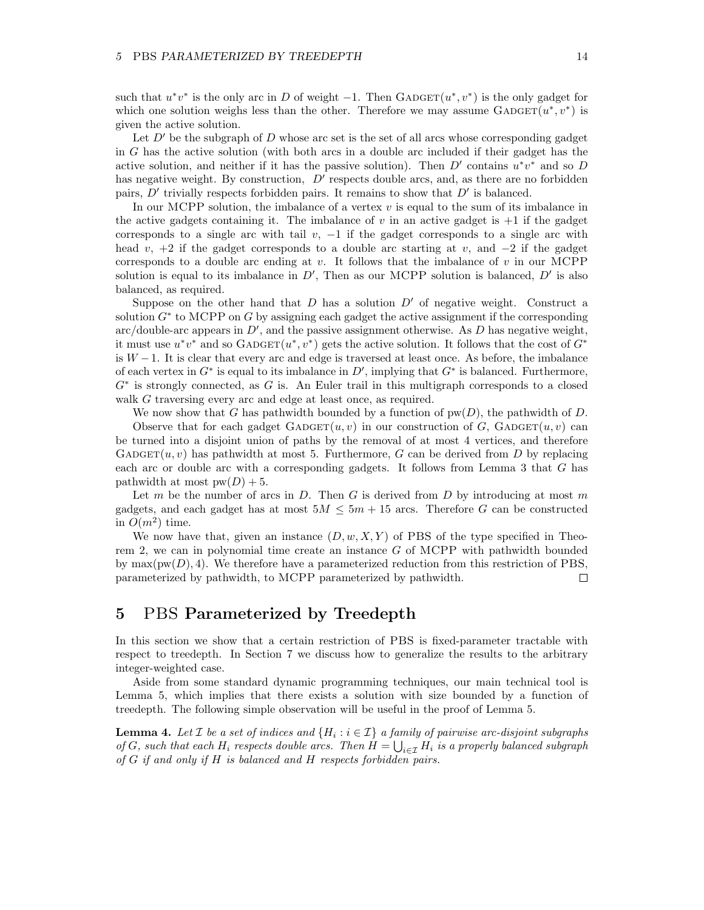such that  $u^*v^*$  is the only arc in D of weight -1. Then  $\text{GADGET}(u^*, v^*)$  is the only gadget for which one solution weighs less than the other. Therefore we may assume  $\text{GADGET}(u^*, v^*)$  is given the active solution.

Let  $D'$  be the subgraph of D whose arc set is the set of all arcs whose corresponding gadget in G has the active solution (with both arcs in a double arc included if their gadget has the active solution, and neither if it has the passive solution). Then  $D'$  contains  $u^*v^*$  and so  $D$ has negative weight. By construction,  $D'$  respects double arcs, and, as there are no forbidden pairs,  $D'$  trivially respects forbidden pairs. It remains to show that  $D'$  is balanced.

In our MCPP solution, the imbalance of a vertex  $v$  is equal to the sum of its imbalance in the active gadgets containing it. The imbalance of v in an active gadget is  $+1$  if the gadget corresponds to a single arc with tail  $v, -1$  if the gadget corresponds to a single arc with head v,  $+2$  if the gadget corresponds to a double arc starting at v, and  $-2$  if the gadget corresponds to a double arc ending at  $v$ . It follows that the imbalance of  $v$  in our MCPP solution is equal to its imbalance in  $D'$ , Then as our MCPP solution is balanced,  $D'$  is also balanced, as required.

Suppose on the other hand that  $D$  has a solution  $D'$  of negative weight. Construct a solution  $G^*$  to MCPP on G by assigning each gadget the active assignment if the corresponding arc/double-arc appears in  $D'$ , and the passive assignment otherwise. As  $D$  has negative weight, it must use  $u^*v^*$  and so  $\text{GADGET}(u^*, v^*)$  gets the active solution. It follows that the cost of  $G^*$ is  $W-1$ . It is clear that every arc and edge is traversed at least once. As before, the imbalance of each vertex in  $G^*$  is equal to its imbalance in  $D'$ , implying that  $G^*$  is balanced. Furthermore,  $G^*$  is strongly connected, as  $G$  is. An Euler trail in this multigraph corresponds to a closed walk G traversing every arc and edge at least once, as required.

We now show that G has pathwidth bounded by a function of  $pw(D)$ , the pathwidth of D. Observe that for each gadget  $\text{GADGET}(u, v)$  in our construction of G,  $\text{GADGET}(u, v)$  can be turned into a disjoint union of paths by the removal of at most 4 vertices, and therefore GADGET $(u, v)$  has pathwidth at most 5. Furthermore, G can be derived from D by replacing each arc or double arc with a corresponding gadgets. It follows from Lemma 3 that G has pathwidth at most  $pw(D) + 5$ .

Let m be the number of arcs in  $D$ . Then  $G$  is derived from  $D$  by introducing at most m gadgets, and each gadget has at most  $5M \leq 5m + 15$  arcs. Therefore G can be constructed in  $O(m^2)$  time.

We now have that, given an instance  $(D, w, X, Y)$  of PBS of the type specified in Theorem 2, we can in polynomial time create an instance G of MCPP with pathwidth bounded by  $\max(pw(D), 4)$ . We therefore have a parameterized reduction from this restriction of PBS, parameterized by pathwidth, to MCPP parameterized by pathwidth.  $\Box$ 

### 5 PBS Parameterized by Treedepth

In this section we show that a certain restriction of PBS is fixed-parameter tractable with respect to treedepth. In Section 7 we discuss how to generalize the results to the arbitrary integer-weighted case.

Aside from some standard dynamic programming techniques, our main technical tool is Lemma 5, which implies that there exists a solution with size bounded by a function of treedepth. The following simple observation will be useful in the proof of Lemma 5.

**Lemma 4.** Let  $\mathcal I$  be a set of indices and  $\{H_i : i \in \mathcal I\}$  a family of pairwise arc-disjoint subgraphs of G, such that each  $H_i$  respects double arcs. Then  $H = \bigcup_{i \in \mathcal{I}} H_i$  is a properly balanced subgraph of G if and only if H is balanced and H respects forbidden pairs.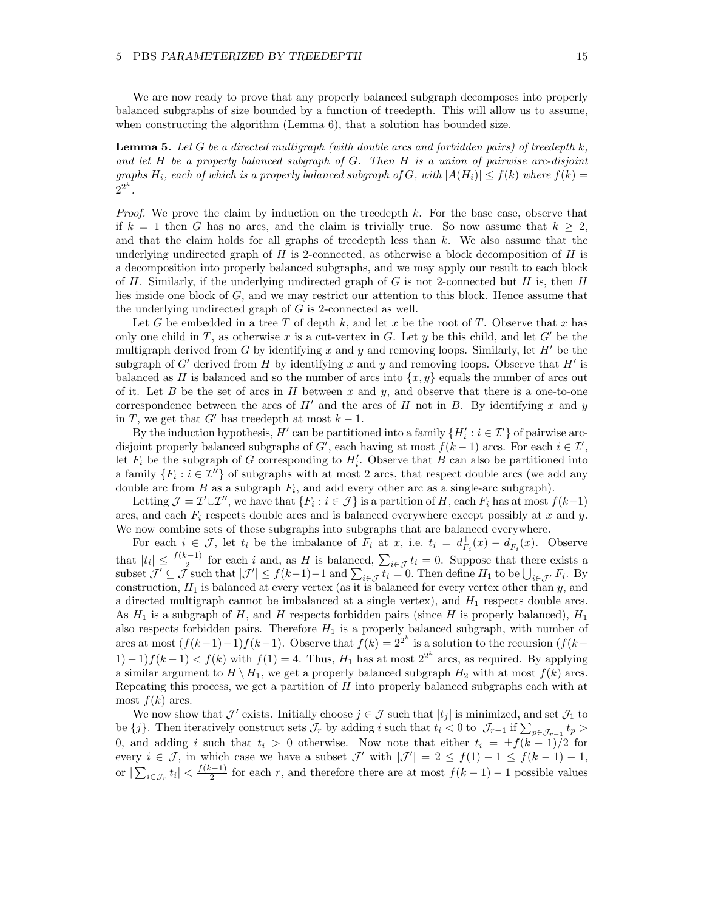We are now ready to prove that any properly balanced subgraph decomposes into properly balanced subgraphs of size bounded by a function of treedepth. This will allow us to assume, when constructing the algorithm (Lemma 6), that a solution has bounded size.

**Lemma 5.** Let G be a directed multigraph (with double arcs and forbidden pairs) of treedepth k, and let  $H$  be a properly balanced subgraph of  $G$ . Then  $H$  is a union of pairwise arc-disjoint graphs  $H_i$ , each of which is a properly balanced subgraph of G, with  $|A(H_i)| \le f(k)$  where  $f(k) =$  $2^{2^k}$ .

*Proof.* We prove the claim by induction on the treedepth  $k$ . For the base case, observe that if  $k = 1$  then G has no arcs, and the claim is trivially true. So now assume that  $k \geq 2$ , and that the claim holds for all graphs of treedepth less than  $k$ . We also assume that the underlying undirected graph of H is 2-connected, as otherwise a block decomposition of H is a decomposition into properly balanced subgraphs, and we may apply our result to each block of H. Similarly, if the underlying undirected graph of G is not 2-connected but H is, then H lies inside one block of G, and we may restrict our attention to this block. Hence assume that the underlying undirected graph of G is 2-connected as well.

Let G be embedded in a tree T of depth k, and let x be the root of T. Observe that x has only one child in T, as otherwise x is a cut-vertex in G. Let y be this child, and let  $G'$  be the multigraph derived from G by identifying x and y and removing loops. Similarly, let  $H'$  be the subgraph of G' derived from H by identifying x and y and removing loops. Observe that  $H'$  is balanced as H is balanced and so the number of arcs into  $\{x, y\}$  equals the number of arcs out of it. Let  $B$  be the set of arcs in  $H$  between  $x$  and  $y$ , and observe that there is a one-to-one correspondence between the arcs of  $H'$  and the arcs of H not in B. By identifying x and y in T, we get that G' has treedepth at most  $k - 1$ .

By the induction hypothesis,  $H'$  can be partitioned into a family  $\{H'_i : i \in \mathcal{I}'\}$  of pairwise arcdisjoint properly balanced subgraphs of G', each having at most  $f(k-1)$  arcs. For each  $i \in \mathcal{I}'$ , let  $F_i$  be the subgraph of G corresponding to  $H'_i$ . Observe that B can also be partitioned into a family  $\{F_i : i \in \mathcal{I}''\}$  of subgraphs with at most 2 arcs, that respect double arcs (we add any double arc from  $B$  as a subgraph  $F_i$ , and add every other arc as a single-arc subgraph).

Letting  $\mathcal{J} = \mathcal{I}' \cup \mathcal{I}''$ , we have that  $\{F_i : i \in \mathcal{J}\}$  is a partition of H, each  $F_i$  has at most  $f(k-1)$ arcs, and each  $F_i$  respects double arcs and is balanced everywhere except possibly at x and y. We now combine sets of these subgraphs into subgraphs that are balanced everywhere.

For each  $i \in \mathcal{J}$ , let  $t_i$  be the imbalance of  $F_i$  at  $x$ , i.e.  $t_i = d_{F_i}^+(x) - d_{F_i}^-$ Observe that  $|t_i| \leq \frac{f(k-1)}{2}$  for each i and, as H is balanced,  $\sum_{i \in \mathcal{J}} t_i = 0$ . Suppose that there exists a subset  $\mathcal{J}' \subseteq \overline{\mathcal{J}}$  such that  $|\mathcal{J}'| \leq f(k-1)-1$  and  $\sum_{i \in \mathcal{J}} t_i = 0$ . Then define  $H_1$  to be  $\bigcup_{i \in \mathcal{J}'} F_i$ . By construction,  $H_1$  is balanced at every vertex (as it is balanced for every vertex other than y, and a directed multigraph cannot be imbalanced at a single vertex), and  $H_1$  respects double arcs. As  $H_1$  is a subgraph of H, and H respects forbidden pairs (since H is properly balanced),  $H_1$ also respects forbidden pairs. Therefore  $H_1$  is a properly balanced subgraph, with number of arcs at most  $(f(k-1)-1)f(k-1)$ . Observe that  $f(k) = 2^{2^k}$  is a solution to the recursion  $(f(k-1)-1)f(k-1)$ .  $1) - 1$ ) $f(k-1) < f(k)$  with  $f(1) = 4$ . Thus,  $H_1$  has at most  $2^{2^k}$  arcs, as required. By applying a similar argument to  $H \setminus H_1$ , we get a properly balanced subgraph  $H_2$  with at most  $f(k)$  arcs. Repeating this process, we get a partition of  $H$  into properly balanced subgraphs each with at most  $f(k)$  arcs.

We now show that  $\mathcal{J}'$  exists. Initially choose  $j \in \mathcal{J}$  such that  $|t_j|$  is minimized, and set  $\mathcal{J}_1$  to be  $\{j\}$ . Then iteratively construct sets  $\mathcal{J}_r$  by adding i such that  $t_i < 0$  to  $\mathcal{J}_{r-1}$  if  $\sum_{p \in \mathcal{J}_{r-1}} t_p >$ 0, and adding i such that  $t_i > 0$  otherwise. Now note that either  $t_i = \pm f(k-1)/2$  for every  $i \in \mathcal{J}$ , in which case we have a subset  $\mathcal{J}'$  with  $|\mathcal{J}'| = 2 \le f(1) - 1 \le f(k-1) - 1$ , or  $\left| \sum_{i \in \mathcal{J}_r} t_i \right| < \frac{f(k-1)}{2}$  $\frac{z-1}{2}$  for each r, and therefore there are at most  $f(k-1)-1$  possible values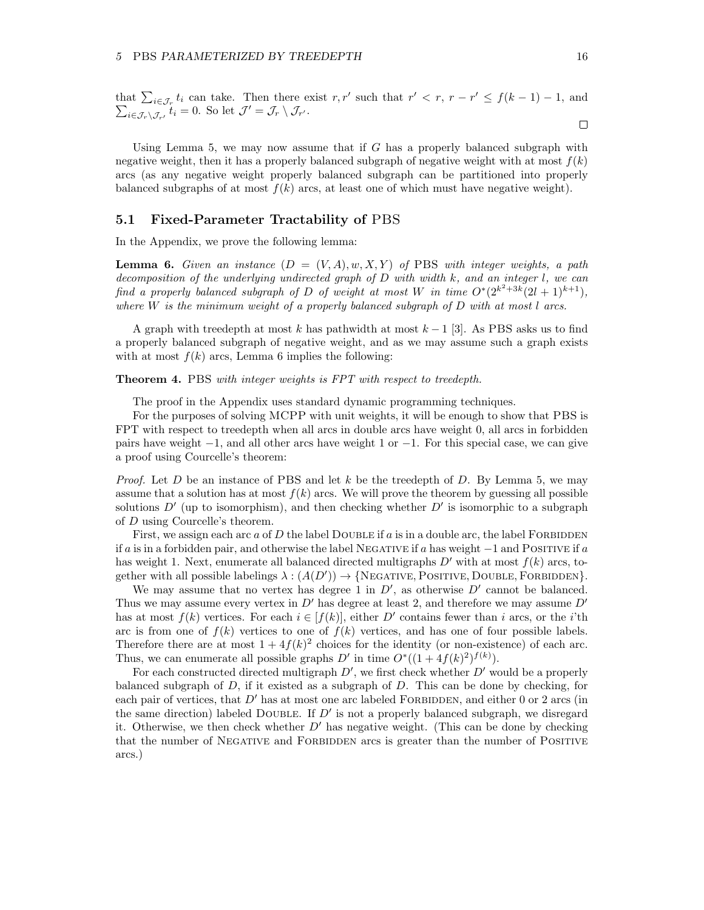that  $\sum_{i\in\mathcal{J}_r} t_i$  can take. Then there exist  $r, r'$  such that  $r' < r, r - r' \leq f(k-1) - 1$ , and  $\sum_{i\in\mathcal{J}_r\setminus\mathcal{J}_{r'}}t_i=0.$  So let  $\mathcal{J}'=\mathcal{J}_r\setminus\mathcal{J}_{r'}$ .

Using Lemma 5, we may now assume that if  $G$  has a properly balanced subgraph with negative weight, then it has a properly balanced subgraph of negative weight with at most  $f(k)$ arcs (as any negative weight properly balanced subgraph can be partitioned into properly balanced subgraphs of at most  $f(k)$  arcs, at least one of which must have negative weight).

#### 5.1 Fixed-Parameter Tractability of PBS

In the Appendix, we prove the following lemma:

**Lemma 6.** Given an instance  $(D = (V, A), w, X, Y)$  of PBS with integer weights, a path decomposition of the underlying undirected graph of  $D$  with width k, and an integer  $l$ , we can find a properly balanced subgraph of D of weight at most W in time  $O^*(2^{k^2+3k}(2l+1)^{k+1})$ , where  $W$  is the minimum weight of a properly balanced subgraph of  $D$  with at most l arcs.

A graph with treedepth at most k has pathwidth at most  $k-1$  [3]. As PBS asks us to find a properly balanced subgraph of negative weight, and as we may assume such a graph exists with at most  $f(k)$  arcs, Lemma 6 implies the following:

Theorem 4. PBS with integer weights is FPT with respect to treedepth.

The proof in the Appendix uses standard dynamic programming techniques.

For the purposes of solving MCPP with unit weights, it will be enough to show that PBS is FPT with respect to treedepth when all arcs in double arcs have weight 0, all arcs in forbidden pairs have weight  $-1$ , and all other arcs have weight 1 or  $-1$ . For this special case, we can give a proof using Courcelle's theorem:

*Proof.* Let  $D$  be an instance of PBS and let  $k$  be the treedepth of  $D$ . By Lemma 5, we may assume that a solution has at most  $f(k)$  arcs. We will prove the theorem by guessing all possible solutions  $D'$  (up to isomorphism), and then checking whether  $D'$  is isomorphic to a subgraph of D using Courcelle's theorem.

First, we assign each arc  $a$  of  $D$  the label DOUBLE if  $a$  is in a double arc, the label FORBIDDEN if a is in a forbidden pair, and otherwise the label NEGATIVE if a has weight  $-1$  and POSITIVE if a has weight 1. Next, enumerate all balanced directed multigraphs  $D'$  with at most  $f(k)$  arcs, together with all possible labelings  $\lambda : (A(D')) \to \{\text{NEGATIVE}, \text{PosITIVE}, \text{Double}, \text{FORDER}\}.$ 

We may assume that no vertex has degree 1 in  $D'$ , as otherwise  $D'$  cannot be balanced. Thus we may assume every vertex in  $D'$  has degree at least 2, and therefore we may assume  $D'$ has at most  $f(k)$  vertices. For each  $i \in [f(k)]$ , either D' contains fewer than i arcs, or the i'th arc is from one of  $f(k)$  vertices to one of  $f(k)$  vertices, and has one of four possible labels. Therefore there are at most  $1 + 4f(k)^2$  choices for the identity (or non-existence) of each arc. Thus, we can enumerate all possible graphs  $D'$  in time  $O^*((1+4f(k)^2)^{f(k)})$ .

For each constructed directed multigraph  $D'$ , we first check whether  $D'$  would be a properly balanced subgraph of  $D$ , if it existed as a subgraph of  $D$ . This can be done by checking, for each pair of vertices, that  $D'$  has at most one arc labeled FORBIDDEN, and either 0 or 2 arcs (in the same direction) labeled DOUBLE. If  $D'$  is not a properly balanced subgraph, we disregard it. Otherwise, we then check whether  $D'$  has negative weight. (This can be done by checking that the number of NEGATIVE and FORBIDDEN arcs is greater than the number of POSITIVE arcs.)

 $\Box$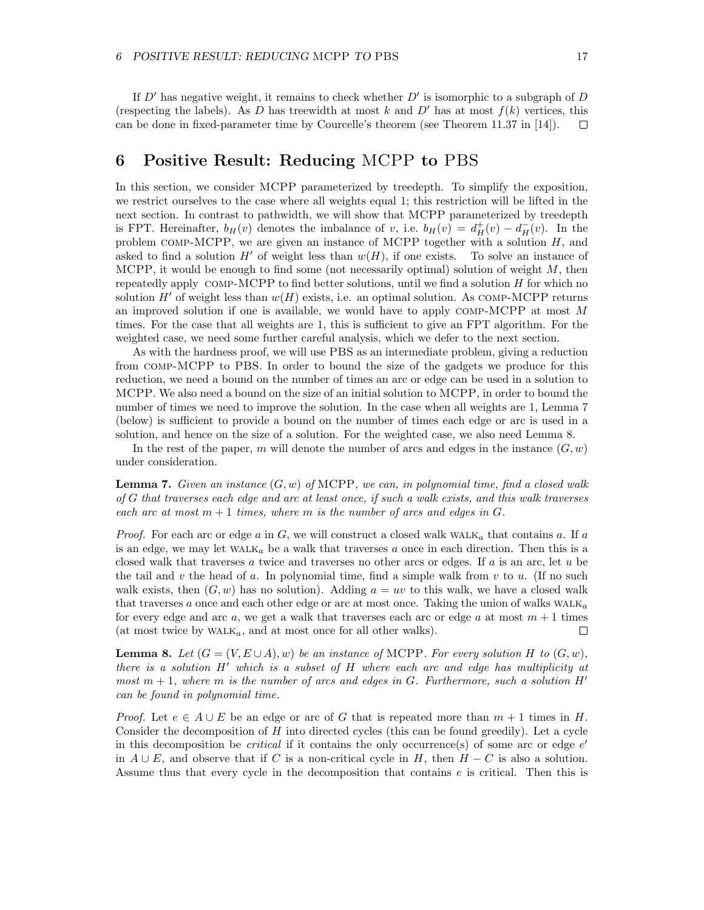If  $D'$  has negative weight, it remains to check whether  $D'$  is isomorphic to a subgraph of  $D$ (respecting the labels). As D has treewidth at most k and D' has at most  $f(k)$  vertices, this can be done in fixed-parameter time by Courcelle's theorem (see Theorem 11.37 in [14]).  $\Box$ 

## 6 Positive Result: Reducing MCPP to PBS

In this section, we consider MCPP parameterized by treedepth. To simplify the exposition, we restrict ourselves to the case where all weights equal 1; this restriction will be lifted in the next section. In contrast to pathwidth, we will show that MCPP parameterized by treedepth is FPT. Hereinafter,  $b_H(v)$  denotes the imbalance of v, i.e.  $b_H(v) = d_H^+(v) - d_H^-(v)$ . In the problem COMP-MCPP, we are given an instance of MCPP together with a solution  $H$ , and asked to find a solution  $H'$  of weight less than  $w(H)$ , if one exists. To solve an instance of MCPP, it would be enough to find some (not necessarily optimal) solution of weight  $M$ , then repeatedly apply  $\text{COMP-MCPP}$  to find better solutions, until we find a solution  $H$  for which no solution  $H'$  of weight less than  $w(H)$  exists, i.e. an optimal solution. As COMP-MCPP returns an improved solution if one is available, we would have to apply  $COMP-MCPP$  at most M times. For the case that all weights are 1, this is sufficient to give an FPT algorithm. For the weighted case, we need some further careful analysis, which we defer to the next section.

As with the hardness proof, we will use PBS as an intermediate problem, giving a reduction from comp-MCPP to PBS. In order to bound the size of the gadgets we produce for this reduction, we need a bound on the number of times an arc or edge can be used in a solution to MCPP. We also need a bound on the size of an initial solution to MCPP, in order to bound the number of times we need to improve the solution. In the case when all weights are 1, Lemma 7 (below) is sufficient to provide a bound on the number of times each edge or arc is used in a solution, and hence on the size of a solution. For the weighted case, we also need Lemma 8.

In the rest of the paper, m will denote the number of arcs and edges in the instance  $(G, w)$ under consideration.

**Lemma 7.** Given an instance  $(G, w)$  of MCPP, we can, in polynomial time, find a closed walk of G that traverses each edge and arc at least once, if such a walk exists, and this walk traverses each arc at most  $m + 1$  times, where m is the number of arcs and edges in  $G$ .

*Proof.* For each arc or edge a in G, we will construct a closed walk  $WALK_a$  that contains a. If a is an edge, we may let  $\text{WALK}_a$  be a walk that traverses a once in each direction. Then this is a closed walk that traverses  $a$  twice and traverses no other arcs or edges. If  $a$  is an arc, let  $u$  be the tail and v the head of a. In polynomial time, find a simple walk from v to u. (If no such walk exists, then  $(G, w)$  has no solution). Adding  $a = uv$  to this walk, we have a closed walk that traverses a once and each other edge or arc at most once. Taking the union of walks  $WALK_a$ for every edge and arc a, we get a walk that traverses each arc or edge a at most  $m + 1$  times (at most twice by  $\text{WALK}_a$ , and at most once for all other walks).  $\Box$ 

**Lemma 8.** Let  $(G = (V, E \cup A), w)$  be an instance of MCPP. For every solution H to  $(G, w)$ , there is a solution  $H'$  which is a subset of  $H$  where each arc and edge has multiplicity at most  $m + 1$ , where m is the number of arcs and edges in G. Furthermore, such a solution H' can be found in polynomial time.

*Proof.* Let  $e \in A \cup E$  be an edge or arc of G that is repeated more than  $m + 1$  times in H. Consider the decomposition of  $H$  into directed cycles (this can be found greedily). Let a cycle in this decomposition be *critical* if it contains the only occurrence(s) of some arc or edge  $e'$ in  $A \cup E$ , and observe that if C is a non-critical cycle in H, then  $H - C$  is also a solution. Assume thus that every cycle in the decomposition that contains e is critical. Then this is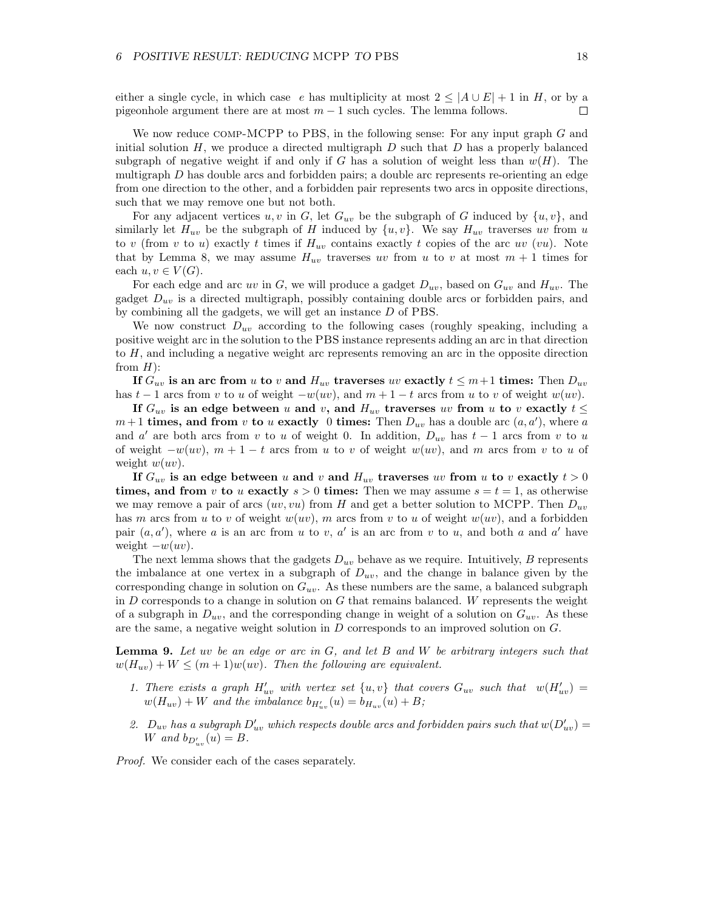either a single cycle, in which case e has multiplicity at most  $2 \lt |A \cup E| + 1$  in H, or by a pigeonhole argument there are at most  $m - 1$  such cycles. The lemma follows.  $\Box$ 

We now reduce COMP-MCPP to PBS, in the following sense: For any input graph  $G$  and initial solution  $H$ , we produce a directed multigraph  $D$  such that  $D$  has a properly balanced subgraph of negative weight if and only if G has a solution of weight less than  $w(H)$ . The multigraph D has double arcs and forbidden pairs; a double arc represents re-orienting an edge from one direction to the other, and a forbidden pair represents two arcs in opposite directions, such that we may remove one but not both.

For any adjacent vertices u, v in G, let  $G_{uv}$  be the subgraph of G induced by  $\{u, v\}$ , and similarly let  $H_{uv}$  be the subgraph of H induced by  $\{u, v\}$ . We say  $H_{uv}$  traverses uv from u to v (from v to u) exactly t times if  $H_{uv}$  contains exactly t copies of the arc uv (vu). Note that by Lemma 8, we may assume  $H_{uv}$  traverses uv from u to v at most  $m + 1$  times for each  $u, v \in V(G)$ .

For each edge and arc uv in G, we will produce a gadget  $D_{uv}$ , based on  $G_{uv}$  and  $H_{uv}$ . The gadget  $D_{uv}$  is a directed multigraph, possibly containing double arcs or forbidden pairs, and by combining all the gadgets, we will get an instance D of PBS.

We now construct  $D_{uv}$  according to the following cases (roughly speaking, including a positive weight arc in the solution to the PBS instance represents adding an arc in that direction to H, and including a negative weight arc represents removing an arc in the opposite direction from  $H$ ):

If  $G_{uv}$  is an arc from u to v and  $H_{uv}$  traverses uv exactly  $t \leq m+1$  times: Then  $D_{uv}$ has  $t-1$  arcs from v to u of weight  $-w(uv)$ , and  $m+1-t$  arcs from u to v of weight  $w(uv)$ .

If  $G_{uv}$  is an edge between u and v, and  $H_{uv}$  traverses uv from u to v exactly  $t \leq$  $m+1$  times, and from v to u exactly 0 times: Then  $D_{uv}$  has a double arc  $(a, a')$ , where a and a' are both arcs from v to u of weight 0. In addition,  $D_{uv}$  has  $t-1$  arcs from v to u of weight  $-w(uv)$ ,  $m+1-t$  arcs from u to v of weight  $w(uv)$ , and m arcs from v to u of weight  $w(uv)$ .

If  $G_{uv}$  is an edge between u and v and  $H_{uv}$  traverses uv from u to v exactly  $t > 0$ times, and from v to u exactly  $s > 0$  times: Then we may assume  $s = t = 1$ , as otherwise we may remove a pair of arcs (uv, vu) from H and get a better solution to MCPP. Then  $D_{uv}$ has m arcs from u to v of weight  $w(uv)$ , m arcs from v to u of weight  $w(uv)$ , and a forbidden pair  $(a, a')$ , where a is an arc from u to v, a' is an arc from v to u, and both a and a' have weight  $-w(uv)$ .

The next lemma shows that the gadgets  $D_{uv}$  behave as we require. Intuitively, B represents the imbalance at one vertex in a subgraph of  $D_{uv}$ , and the change in balance given by the corresponding change in solution on  $G_{uv}$ . As these numbers are the same, a balanced subgraph in  $D$  corresponds to a change in solution on  $G$  that remains balanced.  $W$  represents the weight of a subgraph in  $D_{uv}$ , and the corresponding change in weight of a solution on  $G_{uv}$ . As these are the same, a negative weight solution in  $D$  corresponds to an improved solution on  $G$ .

**Lemma 9.** Let uv be an edge or arc in  $G$ , and let  $B$  and  $W$  be arbitrary integers such that  $w(H_{uv}) + W \leq (m+1)w(uv)$ . Then the following are equivalent.

- 1. There exists a graph  $H'_{uv}$  with vertex set  $\{u, v\}$  that covers  $G_{uv}$  such that  $w(H'_{uv}) =$  $w(H_{uv}) + W$  and the imbalance  $b_{H'_{uv}}(u) = b_{H_{uv}}(u) + B;$
- 2.  $D_{uv}$  has a subgraph  $D'_{uv}$  which respects double arcs and forbidden pairs such that  $w(D'_{uv}) =$ W and  $b_{D'_{uv}}(u) = B$ .

Proof. We consider each of the cases separately.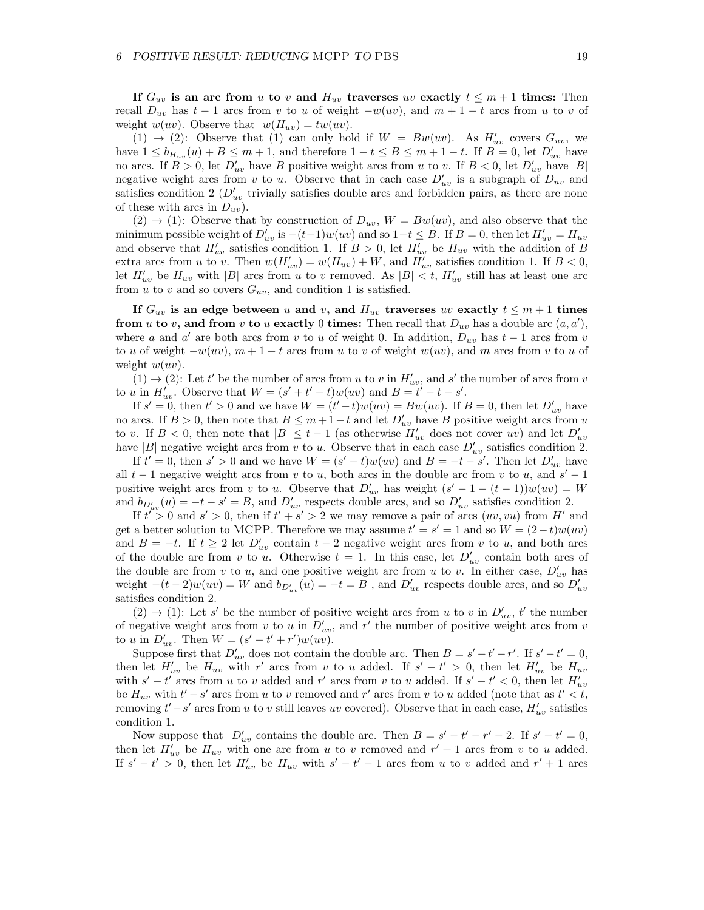If  $G_{uv}$  is an arc from u to v and  $H_{uv}$  traverses uv exactly  $t \leq m+1$  times: Then recall  $D_{uv}$  has  $t-1$  arcs from v to u of weight  $-w(uv)$ , and  $m+1-t$  arcs from u to v of weight  $w(uv)$ . Observe that  $w(H_{uv}) = tw(uv)$ .

 $(1) \rightarrow (2)$ : Observe that (1) can only hold if  $W = Bw(uv)$ . As  $H'_{uv}$  covers  $G_{uv}$ , we have  $1 \leq b_{H_{uv}}(u) + B \leq m+1$ , and therefore  $1-t \leq B \leq m+1-t$ . If  $B=0$ , let  $D'_{uv}$  have no arcs. If  $B > 0$ , let  $D'_{uv}$  have B positive weight arcs from u to v. If  $B < 0$ , let  $D'_{uv}$  have  $|B|$ negative weight arcs from v to u. Observe that in each case  $D'_{uv}$  is a subgraph of  $D_{uv}$  and satisfies condition 2  $(D'_{uv}$  trivially satisfies double arcs and forbidden pairs, as there are none of these with arcs in  $D_{uv}$ ).

 $(2) \rightarrow (1)$ : Observe that by construction of  $D_{uv}$ ,  $W = Bw(uv)$ , and also observe that the minimum possible weight of  $D'_{uv}$  is  $-(t-1)w(uv)$  and so  $1-t \leq B$ . If  $B=0$ , then let  $H'_{uv} = H_{uv}$ and observe that  $H'_{uv}$  satisfies condition 1. If  $B > 0$ , let  $H'_{uv}$  be  $H_{uv}$  with the addition of B extra arcs from u to v. Then  $w(H'_{uv}) = w(H_{uv}) + W$ , and  $H'_{uv}$  satisfies condition 1. If  $B < 0$ , let  $H'_{uv}$  be  $H_{uv}$  with |B| arcs from u to v removed. As  $|B| < t$ ,  $H'_{uv}$  still has at least one arc from u to v and so covers  $G_{uv}$ , and condition 1 is satisfied.

If  $G_{uv}$  is an edge between u and v, and  $H_{uv}$  traverses uv exactly  $t \leq m+1$  times from u to v, and from v to u exactly 0 times: Then recall that  $D_{uv}$  has a double arc  $(a, a')$ , where a and a' are both arcs from v to u of weight 0. In addition,  $D_{uv}$  has  $t-1$  arcs from v to u of weight  $-w(uv)$ ,  $m+1-t$  arcs from u to v of weight  $w(uv)$ , and m arcs from v to u of weight  $w(uv)$ .

 $(1) \rightarrow (2)$ : Let t' be the number of arcs from u to v in  $H'_{uv}$ , and s' the number of arcs from v to u in  $H'_{uv}$ . Observe that  $W = (s' + t' - t)w(uv)$  and  $B = t' - t - s'$ .

If  $s' = 0$ , then  $t' > 0$  and we have  $W = (t' - t)w(uv) = Bw(uv)$ . If  $B = 0$ , then let  $D'_{uv}$  have no arcs. If  $B > 0$ , then note that  $B \le m+1-t$  and let  $D'_{uv}$  have B positive weight arcs from u to v. If  $B < 0$ , then note that  $|B| \leq t - 1$  (as otherwise  $H'_{uv}$  does not cover wv) and let  $D'_{uv}$ have |B| negative weight arcs from v to u. Observe that in each case  $D'_{uv}$  satisfies condition 2.

If  $t' = 0$ , then  $s' > 0$  and we have  $W = (s' - t)w(uv)$  and  $B = -t - s'$ . Then let  $D'_{uv}$  have all  $t-1$  negative weight arcs from v to u, both arcs in the double arc from v to u, and  $s'-1$ positive weight arcs from v to u. Observe that  $D'_{uv}$  has weight  $(s' - 1 - (t - 1))w(uv) = W$ and  $b_{D'_{uv}}(u) = -t - s' = B$ , and  $D'_{uv}$  respects double arcs, and so  $D'_{uv}$  satisfies condition 2.

If  $t^{\prime} > 0$  and  $s' > 0$ , then if  $t' + s' > 2$  we may remove a pair of arcs  $(uv, vu)$  from H' and get a better solution to MCPP. Therefore we may assume  $t' = s' = 1$  and so  $W = (2-t)w(uv)$ and  $B = -t$ . If  $t \ge 2$  let  $D'_{uv}$  contain  $t - 2$  negative weight arcs from v to u, and both arcs of the double arc from v to u. Otherwise  $t = 1$ . In this case, let  $D'_{uv}$  contain both arcs of the double arc from v to u, and one positive weight arc from u to v. In either case,  $D'_{uv}$  has weight  $-(t-2)w(uv) = W$  and  $b_{D'_{uv}}(u) = -t = B$ , and  $D'_{uv}$  respects double arcs, and so  $D'_{uv}$ satisfies condition 2.

 $(2) \rightarrow (1)$ : Let s' be the number of positive weight arcs from u to v in  $D'_{uv}$ , t' the number of negative weight arcs from v to u in  $D'_{uv}$ , and r' the number of positive weight arcs from v to *u* in  $D'_{uv}$ . Then  $W = (s' - t' + r')w(uv)$ .

Suppose first that  $D'_{uv}$  does not contain the double arc. Then  $B = s' - t' - r'$ . If  $s' - t' = 0$ , then let  $H'_{uv}$  be  $H_{uv}$  with r' arcs from v to u added. If  $s' - t' > 0$ , then let  $H'_{uv}$  be  $H_{uv}$ with  $s' - t'$  arcs from u to v added and r' arcs from v to u added. If  $s' - t' < 0$ , then let  $H'_{uv}$ be  $H_{uv}$  with  $t'-s'$  arcs from u to v removed and r' arcs from v to u added (note that as  $t' < t$ , removing  $t'-s'$  arcs from u to v still leaves uv covered). Observe that in each case,  $H'_{uv}$  satisfies condition 1.

Now suppose that  $D'_{uv}$  contains the double arc. Then  $B = s' - t' - r' - 2$ . If  $s' - t' = 0$ , then let  $H'_{uv}$  be  $H_{uv}$  with one arc from u to v removed and  $r' + 1$  arcs from v to u added. If  $s'-t' > 0$ , then let  $H'_{uv}$  be  $H_{uv}$  with  $s'-t'-1$  arcs from u to v added and  $r'+1$  arcs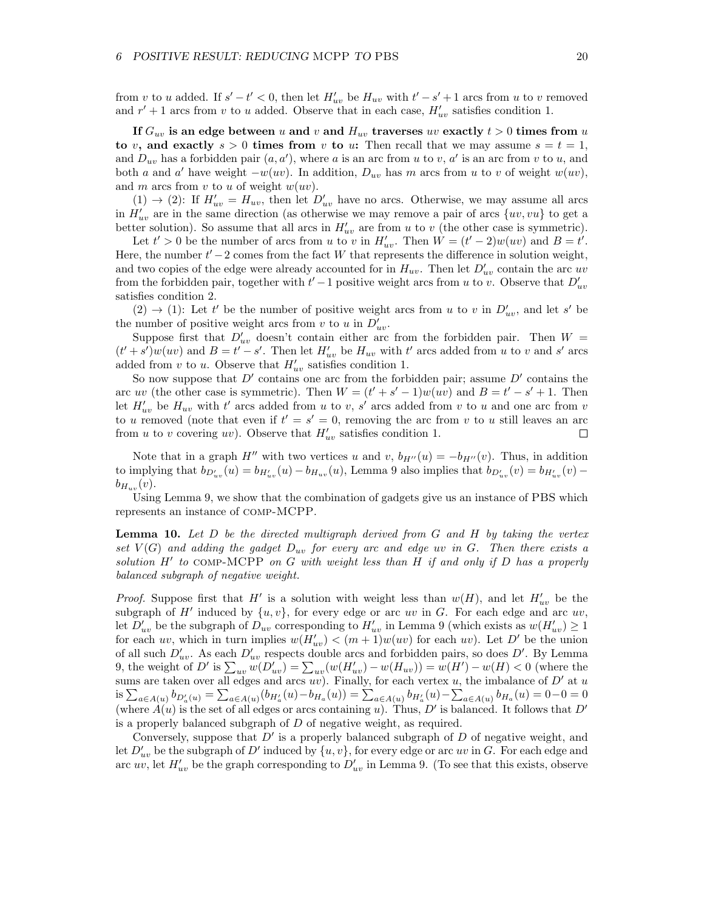from v to u added. If  $s' - t' < 0$ , then let  $H'_{uv}$  be  $H_{uv}$  with  $t' - s' + 1$  arcs from u to v removed and  $r' + 1$  arcs from v to u added. Observe that in each case,  $H'_{uv}$  satisfies condition 1.

If  $G_{uv}$  is an edge between u and v and  $H_{uv}$  traverses uv exactly  $t > 0$  times from u to v, and exactly  $s > 0$  times from v to u: Then recall that we may assume  $s = t = 1$ , and  $D_{uv}$  has a forbidden pair  $(a, a')$ , where a is an arc from u to v, a' is an arc from v to u, and both a and a' have weight  $-w(uv)$ . In addition,  $D_{uv}$  has m arcs from u to v of weight  $w(uv)$ , and m arcs from v to u of weight  $w(uv)$ .

 $(1) \rightarrow (2)$ : If  $H'_{uv} = H_{uv}$ , then let  $D'_{uv}$  have no arcs. Otherwise, we may assume all arcs in  $H'_{uv}$  are in the same direction (as otherwise we may remove a pair of arcs  $\{uv, vu\}$  to get a better solution). So assume that all arcs in  $H'_{uv}$  are from u to v (the other case is symmetric).

Let  $t' > 0$  be the number of arcs from u to v in  $H'_{uv}$ . Then  $W = (t' - 2)w(uv)$  and  $B = t'$ . Here, the number  $t'-2$  comes from the fact W that represents the difference in solution weight, and two copies of the edge were already accounted for in  $H_{uv}$ . Then let  $D'_{uv}$  contain the arc uv from the forbidden pair, together with  $t' - 1$  positive weight arcs from u to v. Observe that  $D'_{uv}$ satisfies condition 2.

 $(2) \rightarrow (1)$ : Let t' be the number of positive weight arcs from u to v in  $D'_{uv}$ , and let s' be the number of positive weight arcs from  $v$  to  $u$  in  $D'_{uv}$ .

Suppose first that  $D'_{uv}$  doesn't contain either arc from the forbidden pair. Then  $W =$  $(t' + s')w(uv)$  and  $B = t' - s'$ . Then let  $H'_{uv}$  be  $H_{uv}$  with  $t'$  arcs added from u to v and s' arcs added from  $v$  to  $u$ . Observe that  $H'_{uv}$  satisfies condition 1.

So now suppose that  $D'$  contains one arc from the forbidden pair; assume  $D'$  contains the arc uv (the other case is symmetric). Then  $W = (t' + s' - 1)w(uv)$  and  $B = t' - s' + 1$ . Then let  $H'_{uv}$  be  $H_{uv}$  with t' arcs added from u to v, s' arcs added from v to u and one arc from v to u removed (note that even if  $t' = s' = 0$ , removing the arc from v to u still leaves an arc from u to v covering uv). Observe that  $H'_{uv}$  satisfies condition 1.  $\Box$ 

Note that in a graph H<sup>n</sup> with two vertices u and v,  $b_{H}u(u) = -b_{H}u(v)$ . Thus, in addition to implying that  $b_{D'_{uv}}(u) = b_{H'_{uv}}(u) - b_{H_{uv}}(u)$ , Lemma 9 also implies that  $b_{D'_{uv}}(v) = b_{H'_{uv}}(v) - b_{H'_{uv}}(v)$  $b_{H_{uv}}(v)$ .

Using Lemma 9, we show that the combination of gadgets give us an instance of PBS which represents an instance of comp-MCPP.

**Lemma 10.** Let  $D$  be the directed multigraph derived from  $G$  and  $H$  by taking the vertex set  $V(G)$  and adding the gadget  $D_{uv}$  for every arc and edge uv in G. Then there exists a solution  $H'$  to COMP-MCPP on  $G$  with weight less than  $H$  if and only if  $D$  has a properly balanced subgraph of negative weight.

*Proof.* Suppose first that H' is a solution with weight less than  $w(H)$ , and let  $H'_{uv}$  be the subgraph of  $H'$  induced by  $\{u, v\}$ , for every edge or arc uv in G. For each edge and arc uv, let  $D'_{uv}$  be the subgraph of  $D_{uv}$  corresponding to  $H'_{uv}$  in Lemma 9 (which exists as  $w(H'_{uv}) \ge 1$ for each uv, which in turn implies  $w(H'_{uv}) < (m+1)w(uv)$  for each uv). Let D' be the union of all such  $D'_{uv}$ . As each  $D'_{uv}$  respects double arcs and forbidden pairs, so does  $D'$ . By Lemma 9, the weight of D' is  $\sum_{uv} w(D'_{uv}) = \sum_{uv} (w(H'_{uv}) - w(H_{uv})) = w(H') - w(H) < 0$  (where the sums are taken over all edges and arcs  $uv$ ). Finally, for each vertex u, the imbalance of D' at u is  $\sum_{a\in A(u)} b_{D'_a(u)} = \sum_{a\in A(u)} (b_{H'_a}(u) - b_{H_a}(u)) = \sum_{a\in A(u)} b_{H'_a}(u) - \sum_{a\in A(u)} b_{H_a}(u) = 0 - 0 = 0$ (where  $A(u)$  is the set of all edges or arcs containing u). Thus, D' is balanced. It follows that D' is a properly balanced subgraph of  $D$  of negative weight, as required.

Conversely, suppose that  $D'$  is a properly balanced subgraph of  $D$  of negative weight, and let  $D'_{uv}$  be the subgraph of  $D'$  induced by  $\{u, v\}$ , for every edge or arc  $uv$  in  $G$ . For each edge and arc uv, let  $H'_{uv}$  be the graph corresponding to  $D'_{uv}$  in Lemma 9. (To see that this exists, observe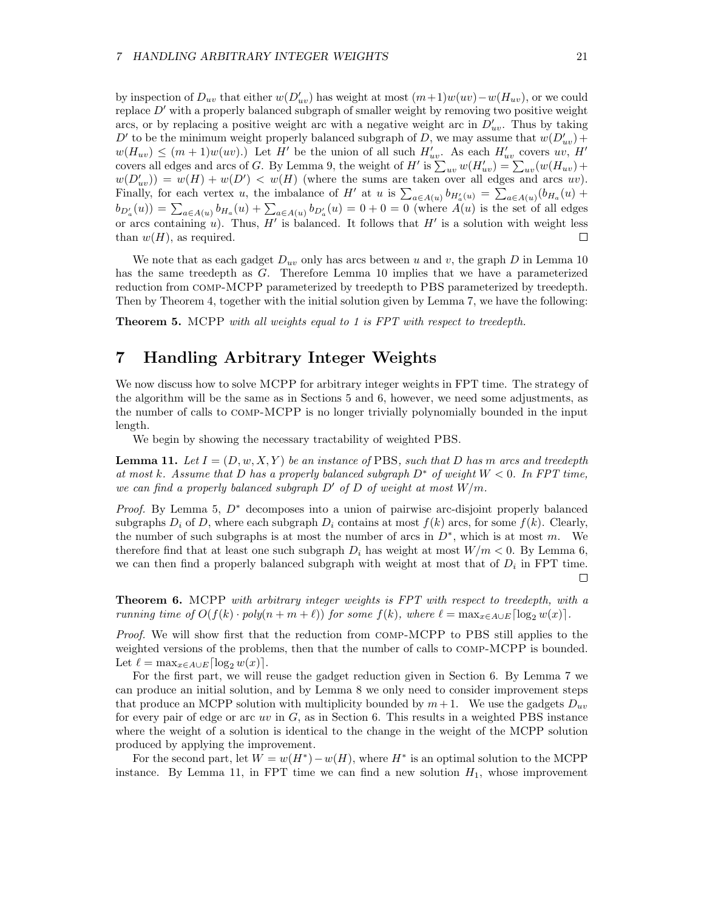by inspection of  $D_{uv}$  that either  $w(D'_{uv})$  has weight at most  $(m+1)w(uv) - w(H_{uv})$ , or we could replace  $D'$  with a properly balanced subgraph of smaller weight by removing two positive weight arcs, or by replacing a positive weight arc with a negative weight arc in  $D'_{uv}$ . Thus by taking  $D'$  to be the minimum weight properly balanced subgraph of D, we may assume that  $w(D'_{uv}) +$  $w(H_{uv}) \leq (m+1)w(uv)$ . Let H' be the union of all such  $H'_{uv}$ . As each  $H'_{uv}$  covers uv, H' covers all edges and arcs of G. By Lemma 9, the weight of  $H'$  is  $\sum_{uv} w(H'_{uv}) = \sum_{uv} (w(H_{uv}) +$  $w(D'_{uv}) = w(H) + w(D') < w(H)$  (where the sums are taken over all edges and arcs uv). Finally, for each vertex u, the imbalance of H' at u is  $\sum_{a \in A(u)} b_{H'_a(u)} = \sum_{a \in A(u)} (b_{H_a}(u) + b_{H'_a}(u))$  $b_{D'_a}(u) = \sum_{a \in A(u)} b_{H_a}(u) + \sum_{a \in A(u)} b_{D'_a}(u) = 0 + 0 = 0$  (where  $A(u)$  is the set of all edges or arcs containing u). Thus,  $H'$  is balanced. It follows that  $H'$  is a solution with weight less than  $w(H)$ , as required.  $\Box$ 

We note that as each gadget  $D_{uv}$  only has arcs between u and v, the graph D in Lemma 10 has the same treedepth as G. Therefore Lemma 10 implies that we have a parameterized reduction from comp-MCPP parameterized by treedepth to PBS parameterized by treedepth. Then by Theorem 4, together with the initial solution given by Lemma 7, we have the following:

Theorem 5. MCPP with all weights equal to 1 is FPT with respect to treedepth.

### 7 Handling Arbitrary Integer Weights

We now discuss how to solve MCPP for arbitrary integer weights in FPT time. The strategy of the algorithm will be the same as in Sections 5 and 6, however, we need some adjustments, as the number of calls to comp-MCPP is no longer trivially polynomially bounded in the input length.

We begin by showing the necessary tractability of weighted PBS.

**Lemma 11.** Let  $I = (D, w, X, Y)$  be an instance of PBS, such that D has m arcs and treedepth at most k. Assume that D has a properly balanced subgraph  $D^*$  of weight  $W < 0$ . In FPT time, we can find a properly balanced subgraph  $D'$  of D of weight at most  $W/m$ .

*Proof.* By Lemma 5,  $D^*$  decomposes into a union of pairwise arc-disjoint properly balanced subgraphs  $D_i$  of D, where each subgraph  $D_i$  contains at most  $f(k)$  arcs, for some  $f(k)$ . Clearly, the number of such subgraphs is at most the number of arcs in  $D^*$ , which is at most m. We therefore find that at least one such subgraph  $D_i$  has weight at most  $W/m < 0$ . By Lemma 6, we can then find a properly balanced subgraph with weight at most that of  $D_i$  in FPT time.  $\Box$ 

Theorem 6. MCPP with arbitrary integer weights is FPT with respect to treedepth, with a running time of  $O(f(k) \cdot poly(n + m + \ell))$  for some  $f(k)$ , where  $\ell = \max_{x \in A \cup E} \lceil \log_2 w(x) \rceil$ .

Proof. We will show first that the reduction from COMP-MCPP to PBS still applies to the weighted versions of the problems, then that the number of calls to comp-MCPP is bounded. Let  $\ell = \max_{x \in A \cup E} \lceil \log_2 w(x) \rceil$ .

For the first part, we will reuse the gadget reduction given in Section 6. By Lemma 7 we can produce an initial solution, and by Lemma 8 we only need to consider improvement steps that produce an MCPP solution with multiplicity bounded by  $m+1$ . We use the gadgets  $D_{uv}$ for every pair of edge or arc uv in  $G$ , as in Section 6. This results in a weighted PBS instance where the weight of a solution is identical to the change in the weight of the MCPP solution produced by applying the improvement.

For the second part, let  $W = w(H^*) - w(H)$ , where  $H^*$  is an optimal solution to the MCPP instance. By Lemma 11, in FPT time we can find a new solution  $H_1$ , whose improvement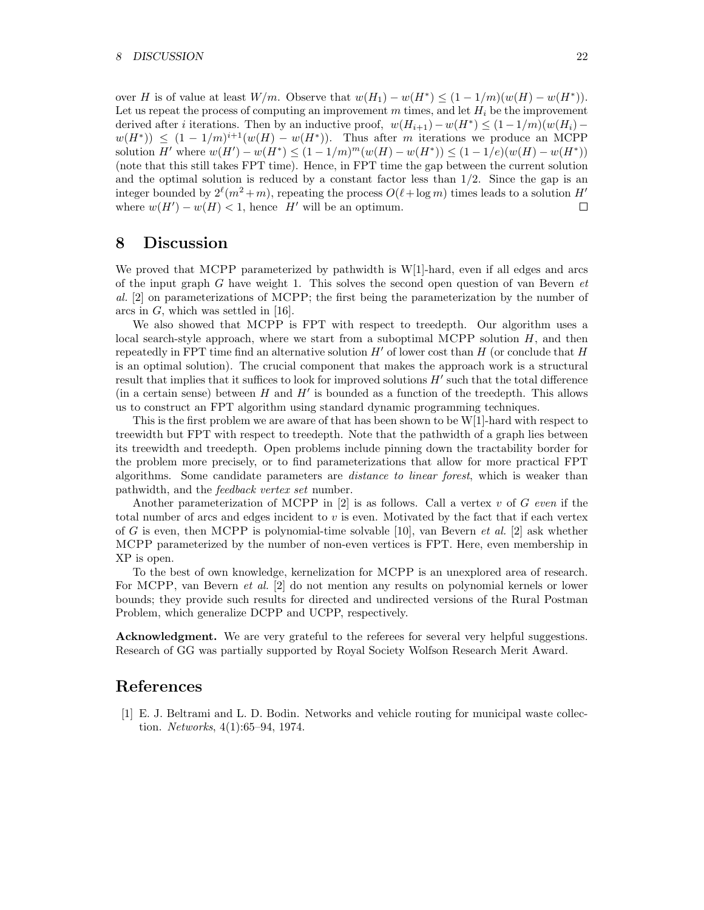over H is of value at least  $W/m$ . Observe that  $w(H_1) - w(H^*) \leq (1 - 1/m)(w(H) - w(H^*))$ . Let us repeat the process of computing an improvement m times, and let  $H_i$  be the improvement derived after *i* iterations. Then by an inductive proof,  $w(H_{i+1}) - w(H^*) \leq (1 - 1/m)(w(H_i) - w(H^*))$  $w(H^*)$   $\leq$   $(1 - 1/m)^{i+1}(w(H) - w(H^*))$ . Thus after m iterations we produce an MCPP solution H' where  $w(H') - w(H^*) \le (1 - 1/m)^m (w(H) - w(H^*)) \le (1 - 1/e)(w(H) - w(H^*))$ (note that this still takes FPT time). Hence, in FPT time the gap between the current solution and the optimal solution is reduced by a constant factor less than  $1/2$ . Since the gap is an integer bounded by  $2^{\ell}(m^2+m)$ , repeating the process  $O(\ell + \log m)$  times leads to a solution  $H'$ where  $w(H') - w(H) < 1$ , hence H' will be an optimum.  $\Box$ 

#### 8 Discussion

We proved that MCPP parameterized by pathwidth is W[1]-hard, even if all edges and arcs of the input graph  $G$  have weight 1. This solves the second open question of van Bevern  $et$ al. [2] on parameterizations of MCPP; the first being the parameterization by the number of arcs in  $G$ , which was settled in [16].

We also showed that MCPP is FPT with respect to treedepth. Our algorithm uses a local search-style approach, where we start from a suboptimal MCPP solution  $H$ , and then repeatedly in FPT time find an alternative solution  $H'$  of lower cost than  $H$  (or conclude that  $H$ is an optimal solution). The crucial component that makes the approach work is a structural result that implies that it suffices to look for improved solutions  $H'$  such that the total difference (in a certain sense) between  $H$  and  $H'$  is bounded as a function of the treedepth. This allows us to construct an FPT algorithm using standard dynamic programming techniques.

This is the first problem we are aware of that has been shown to be W[1]-hard with respect to treewidth but FPT with respect to treedepth. Note that the pathwidth of a graph lies between its treewidth and treedepth. Open problems include pinning down the tractability border for the problem more precisely, or to find parameterizations that allow for more practical FPT algorithms. Some candidate parameters are distance to linear forest, which is weaker than pathwidth, and the feedback vertex set number.

Another parameterization of MCPP in  $[2]$  is as follows. Call a vertex v of G even if the total number of arcs and edges incident to  $v$  is even. Motivated by the fact that if each vertex of G is even, then MCPP is polynomial-time solvable [10], van Bevern et al. [2] ask whether MCPP parameterized by the number of non-even vertices is FPT. Here, even membership in XP is open.

To the best of own knowledge, kernelization for MCPP is an unexplored area of research. For MCPP, van Bevern et al. [2] do not mention any results on polynomial kernels or lower bounds; they provide such results for directed and undirected versions of the Rural Postman Problem, which generalize DCPP and UCPP, respectively.

Acknowledgment. We are very grateful to the referees for several very helpful suggestions. Research of GG was partially supported by Royal Society Wolfson Research Merit Award.

### References

[1] E. J. Beltrami and L. D. Bodin. Networks and vehicle routing for municipal waste collection. Networks, 4(1):65–94, 1974.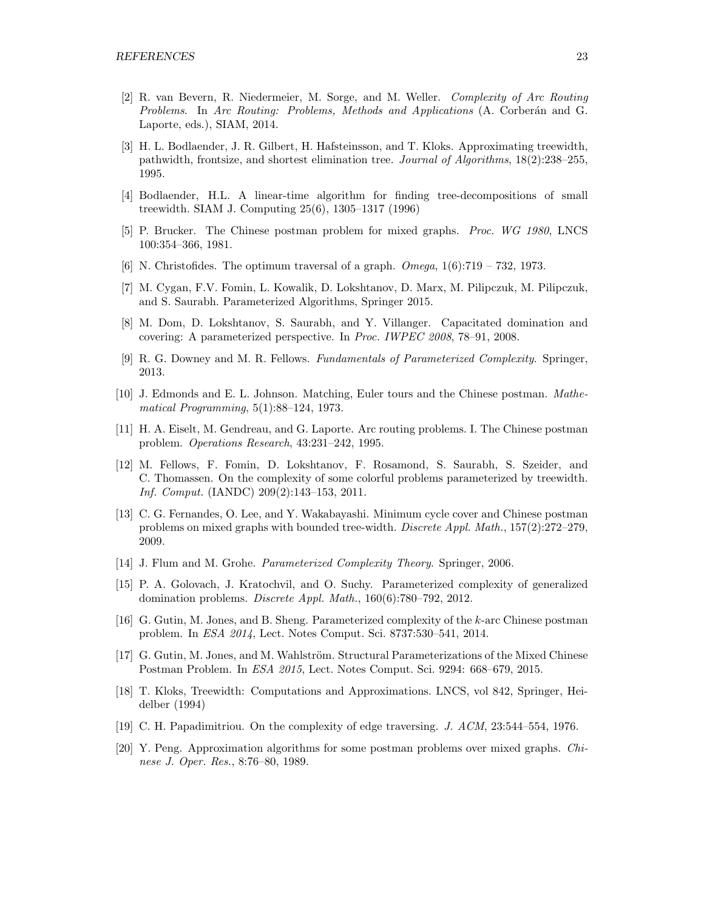- [2] R. van Bevern, R. Niedermeier, M. Sorge, and M. Weller. Complexity of Arc Routing Problems. In Arc Routing: Problems, Methods and Applications (A. Corberán and G. Laporte, eds.), SIAM, 2014.
- [3] H. L. Bodlaender, J. R. Gilbert, H. Hafsteinsson, and T. Kloks. Approximating treewidth, pathwidth, frontsize, and shortest elimination tree. Journal of Algorithms, 18(2):238–255, 1995.
- [4] Bodlaender, H.L. A linear-time algorithm for finding tree-decompositions of small treewidth. SIAM J. Computing 25(6), 1305–1317 (1996)
- [5] P. Brucker. The Chinese postman problem for mixed graphs. Proc. WG 1980, LNCS 100:354–366, 1981.
- [6] N. Christofides. The optimum traversal of a graph. Omega, 1(6):719 732, 1973.
- [7] M. Cygan, F.V. Fomin, L. Kowalik, D. Lokshtanov, D. Marx, M. Pilipczuk, M. Pilipczuk, and S. Saurabh. Parameterized Algorithms, Springer 2015.
- [8] M. Dom, D. Lokshtanov, S. Saurabh, and Y. Villanger. Capacitated domination and covering: A parameterized perspective. In Proc. IWPEC 2008, 78–91, 2008.
- [9] R. G. Downey and M. R. Fellows. Fundamentals of Parameterized Complexity. Springer, 2013.
- [10] J. Edmonds and E. L. Johnson. Matching, Euler tours and the Chinese postman. Mathematical Programming, 5(1):88–124, 1973.
- [11] H. A. Eiselt, M. Gendreau, and G. Laporte. Arc routing problems. I. The Chinese postman problem. Operations Research, 43:231–242, 1995.
- [12] M. Fellows, F. Fomin, D. Lokshtanov, F. Rosamond, S. Saurabh, S. Szeider, and C. Thomassen. On the complexity of some colorful problems parameterized by treewidth. Inf. Comput. (IANDC) 209(2):143–153, 2011.
- [13] C. G. Fernandes, O. Lee, and Y. Wakabayashi. Minimum cycle cover and Chinese postman problems on mixed graphs with bounded tree-width. Discrete Appl. Math., 157(2):272–279, 2009.
- [14] J. Flum and M. Grohe. Parameterized Complexity Theory. Springer, 2006.
- [15] P. A. Golovach, J. Kratochvil, and O. Suchy. Parameterized complexity of generalized domination problems. Discrete Appl. Math., 160(6):780–792, 2012.
- [16] G. Gutin, M. Jones, and B. Sheng. Parameterized complexity of the k-arc Chinese postman problem. In ESA 2014, Lect. Notes Comput. Sci. 8737:530–541, 2014.
- [17] G. Gutin, M. Jones, and M. Wahlström. Structural Parameterizations of the Mixed Chinese Postman Problem. In ESA 2015, Lect. Notes Comput. Sci. 9294: 668–679, 2015.
- [18] T. Kloks, Treewidth: Computations and Approximations. LNCS, vol 842, Springer, Heidelber (1994)
- [19] C. H. Papadimitriou. On the complexity of edge traversing. J. ACM, 23:544–554, 1976.
- [20] Y. Peng. Approximation algorithms for some postman problems over mixed graphs. Chinese J. Oper. Res., 8:76–80, 1989.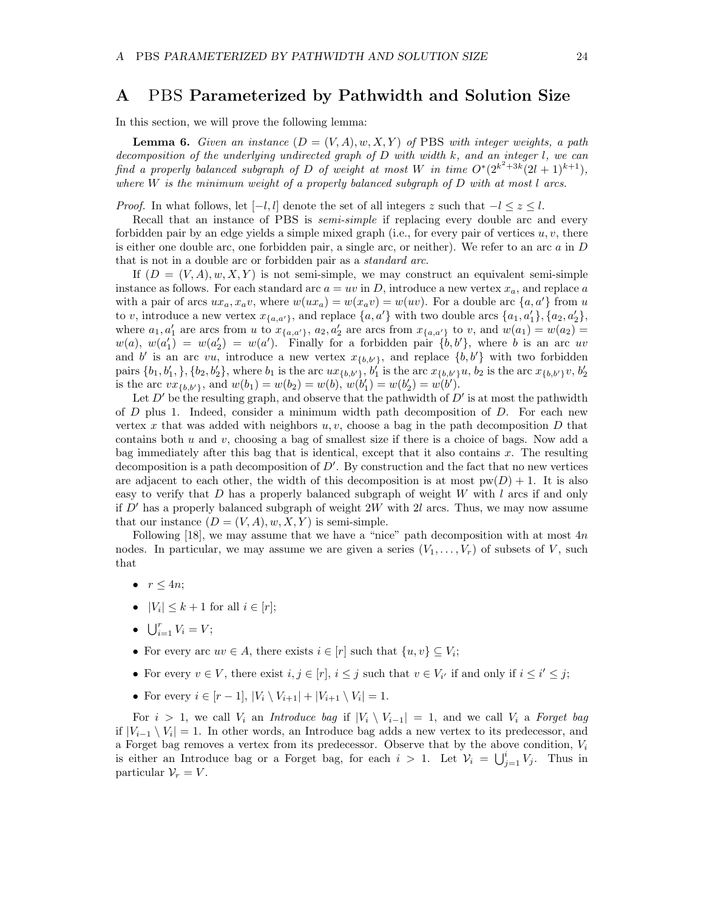### A PBS Parameterized by Pathwidth and Solution Size

In this section, we will prove the following lemma:

**Lemma 6.** Given an instance  $(D = (V, A), w, X, Y)$  of PBS with integer weights, a path decomposition of the underlying undirected graph of  $D$  with width k, and an integer  $l$ , we can find a properly balanced subgraph of D of weight at most W in time  $O^*(2^{k^2+3k}(2l+1)^{k+1})$ , where  $W$  is the minimum weight of a properly balanced subgraph of  $D$  with at most  $l$  arcs.

*Proof.* In what follows, let  $[-l, l]$  denote the set of all integers z such that  $-l \leq z \leq l$ .

Recall that an instance of PBS is *semi-simple* if replacing every double arc and every forbidden pair by an edge yields a simple mixed graph (i.e., for every pair of vertices  $u, v$ , there is either one double arc, one forbidden pair, a single arc, or neither). We refer to an arc  $a$  in  $D$ that is not in a double arc or forbidden pair as a standard arc.

If  $(D = (V, A), w, X, Y)$  is not semi-simple, we may construct an equivalent semi-simple instance as follows. For each standard arc  $a = uv$  in D, introduce a new vertex  $x_a$ , and replace a with a pair of arcs  $ux_a, x_a v$ , where  $w(ux_a) = w(x_a v) = w(uv)$ . For a double arc  $\{a, a'\}$  from u to v, introduce a new vertex  $x_{\{a,a'\}}$ , and replace  $\{a, a'\}$  with two double arcs  $\{a_1, a'_1\}$ ,  $\{a_2, a'_2\}$ , where  $a_1, a'_1$  are arcs from u to  $x_{\{a,a'\}}$ ,  $a_2, a'_2$  are arcs from  $x_{\{a,a'\}}$  to v, and  $w(a_1) = w(a_2) = w(a_1)$  $w(a)$ ,  $w(a'_1) = w(a'_2) = w(a')$ . Finally for a forbidden pair  $\{b, b'\}$ , where b is an arc uv and b' is an arc vu, introduce a new vertex  $x_{\{b,b'\}}$ , and replace  $\{b,b'\}$  with two forbidden pairs  $\{b_1, b'_1, \}, \{b_2, b'_2\},\$  where  $b_1$  is the arc  $ux_{\{b,b'\}}$ ,  $b'_1$  is the arc  $x_{\{b,b'\}}u$ ,  $b_2$  is the arc  $x_{\{b,b'\}}v$ ,  $b'_2$ is the arc  $vx_{\{b,b'\}}$ , and  $w(b_1) = w(b_2) = w(b)$ ,  $w(b'_1) = w(b'_2) = w(b')$ .

Let D' be the resulting graph, and observe that the pathwidth of  $D'$  is at most the pathwidth of  $D$  plus 1. Indeed, consider a minimum width path decomposition of  $D$ . For each new vertex x that was added with neighbors  $u, v$ , choose a bag in the path decomposition D that contains both u and v, choosing a bag of smallest size if there is a choice of bags. Now add a bag immediately after this bag that is identical, except that it also contains  $x$ . The resulting decomposition is a path decomposition of  $D'$ . By construction and the fact that no new vertices are adjacent to each other, the width of this decomposition is at most  $pw(D) + 1$ . It is also easy to verify that  $D$  has a properly balanced subgraph of weight  $W$  with  $l$  arcs if and only if  $D'$  has a properly balanced subgraph of weight  $2W$  with  $2l$  arcs. Thus, we may now assume that our instance  $(D = (V, A), w, X, Y)$  is semi-simple.

Following [18], we may assume that we have a "nice" path decomposition with at most  $4n$ nodes. In particular, we may assume we are given a series  $(V_1, \ldots, V_r)$  of subsets of V, such that

- $r \leq 4n$ ;
- $|V_i| \leq k+1$  for all  $i \in [r]$ ;
- $\bigcup_{i=1}^{r} V_i = V;$
- For every arc  $uv \in A$ , there exists  $i \in [r]$  such that  $\{u, v\} \subseteq V_i$ ;
- For every  $v \in V$ , there exist  $i, j \in [r]$ ,  $i \leq j$  such that  $v \in V_{i'}$  if and only if  $i \leq i' \leq j$ ;
- For every  $i \in [r-1], |V_i \setminus V_{i+1}| + |V_{i+1} \setminus V_i| = 1.$

For  $i > 1$ , we call  $V_i$  an *Introduce bag* if  $|V_i \setminus V_{i-1}| = 1$ , and we call  $V_i$  a Forget bag if  $|V_{i-1} \setminus V_i| = 1$ . In other words, an Introduce bag adds a new vertex to its predecessor, and a Forget bag removes a vertex from its predecessor. Observe that by the above condition,  $V_i$ is either an Introduce bag or a Forget bag, for each  $i > 1$ . Let  $\mathcal{V}_i = \bigcup_{j=1}^i V_j$ . Thus in particular  $\mathcal{V}_r = V$ .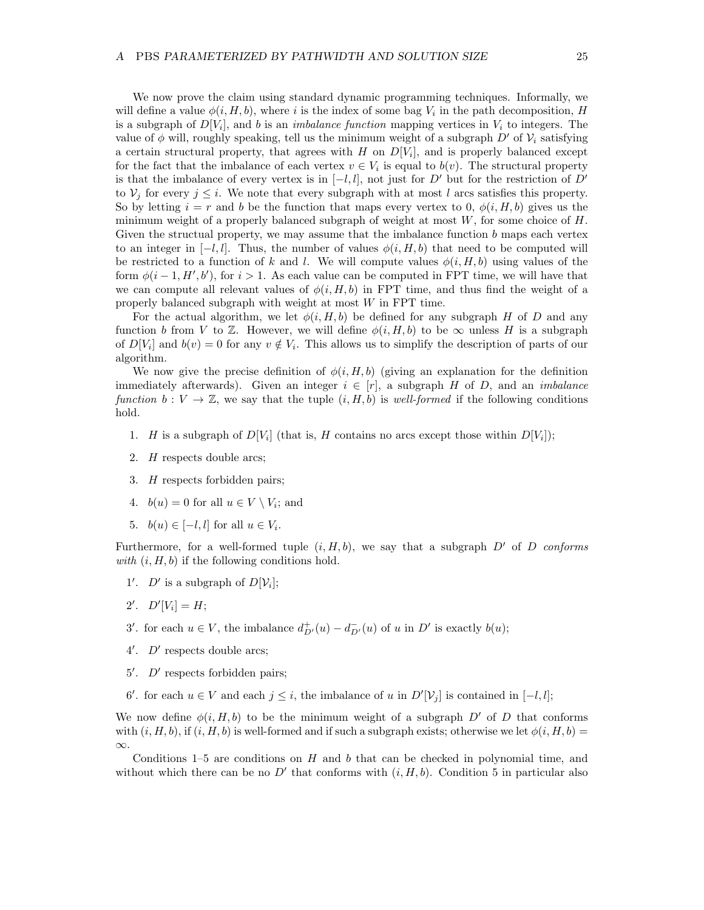We now prove the claim using standard dynamic programming techniques. Informally, we will define a value  $\phi(i, H, b)$ , where i is the index of some bag  $V_i$  in the path decomposition, H is a subgraph of  $D[V_i]$ , and b is an *imbalance function* mapping vertices in  $V_i$  to integers. The value of  $\phi$  will, roughly speaking, tell us the minimum weight of a subgraph D' of  $V_i$  satisfying a certain structural property, that agrees with  $H$  on  $D[V_i]$ , and is properly balanced except for the fact that the imbalance of each vertex  $v \in V_i$  is equal to  $b(v)$ . The structural property is that the imbalance of every vertex is in  $[-l, l]$ , not just for D' but for the restriction of D' to  $V_i$  for every  $j \leq i$ . We note that every subgraph with at most l arcs satisfies this property. So by letting  $i = r$  and b be the function that maps every vertex to 0,  $\phi(i, H, b)$  gives us the minimum weight of a properly balanced subgraph of weight at most  $W$ , for some choice of  $H$ . Given the structual property, we may assume that the imbalance function  $b$  maps each vertex to an integer in  $[-l, l]$ . Thus, the number of values  $\phi(i, H, b)$  that need to be computed will be restricted to a function of k and l. We will compute values  $\phi(i, H, b)$  using values of the form  $\phi(i-1, H', b')$ , for  $i > 1$ . As each value can be computed in FPT time, we will have that we can compute all relevant values of  $\phi(i, H, b)$  in FPT time, and thus find the weight of a properly balanced subgraph with weight at most W in FPT time.

For the actual algorithm, we let  $\phi(i, H, b)$  be defined for any subgraph H of D and any function b from V to Z. However, we will define  $\phi(i, H, b)$  to be  $\infty$  unless H is a subgraph of  $D[V_i]$  and  $b(v) = 0$  for any  $v \notin V_i$ . This allows us to simplify the description of parts of our algorithm.

We now give the precise definition of  $\phi(i, H, b)$  (giving an explanation for the definition immediately afterwards). Given an integer  $i \in [r]$ , a subgraph H of D, and an *imbalance* function  $b: V \to \mathbb{Z}$ , we say that the tuple  $(i, H, b)$  is well-formed if the following conditions hold.

- 1. H is a subgraph of  $D[V_i]$  (that is, H contains no arcs except those within  $D[V_i]$ );
- 2. H respects double arcs;
- 3. H respects forbidden pairs;
- 4.  $b(u) = 0$  for all  $u \in V \setminus V_i$ ; and
- 5.  $b(u) \in [-l, l]$  for all  $u \in V_i$ .

Furthermore, for a well-formed tuple  $(i, H, b)$ , we say that a subgraph D' of D conforms with  $(i, H, b)$  if the following conditions hold.

- 1'.  $D'$  is a subgraph of  $D[\mathcal{V}_i]$ ;
- 2'.  $D'[V_i] = H;$
- 3'. for each  $u \in V$ , the imbalance  $d_{D'}^+(u) d_{D'}^-(u)$  of u in  $D'$  is exactly  $b(u)$ ;
- $4'.$  *D'* respects double arcs;
- $5'.$  *D'* respects forbidden pairs;
- 6'. for each  $u \in V$  and each  $j \leq i$ , the imbalance of u in  $D'[\mathcal{V}_j]$  is contained in  $[-l, l]$ ;

We now define  $\phi(i, H, b)$  to be the minimum weight of a subgraph D' of D that conforms with  $(i, H, b)$ , if  $(i, H, b)$  is well-formed and if such a subgraph exists; otherwise we let  $\phi(i, H, b)$  = ∞.

Conditions  $1-5$  are conditions on H and b that can be checked in polynomial time, and without which there can be no  $D'$  that conforms with  $(i, H, b)$ . Condition 5 in particular also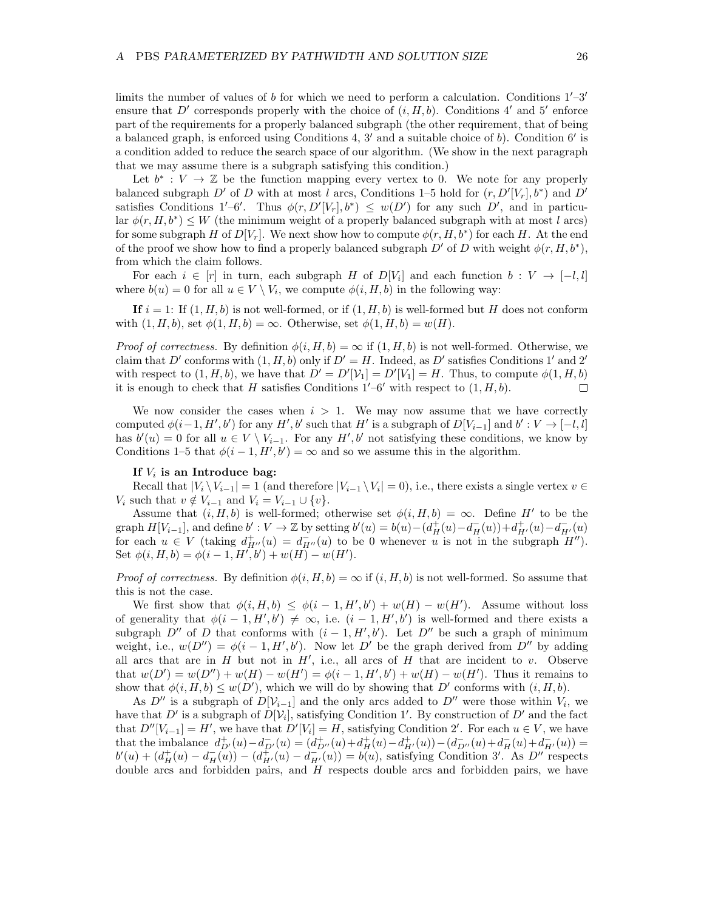limits the number of values of b for which we need to perform a calculation. Conditions  $1'-3'$ ensure that  $D'$  corresponds properly with the choice of  $(i, H, b)$ . Conditions 4' and 5' enforce part of the requirements for a properly balanced subgraph (the other requirement, that of being a balanced graph, is enforced using Conditions 4,  $3'$  and a suitable choice of  $b$ ). Condition  $6'$  is a condition added to reduce the search space of our algorithm. (We show in the next paragraph that we may assume there is a subgraph satisfying this condition.)

Let  $b^* : V \to \mathbb{Z}$  be the function mapping every vertex to 0. We note for any properly balanced subgraph D' of D with at most l arcs, Conditions 1–5 hold for  $(r, D'[V_r], b^*)$  and D' satisfies Conditions  $1'-6'$ . Thus  $\phi(r, D'[V_r], b^*) \leq w(D')$  for any such D', and in particular  $\phi(r, H, b^*) \leq W$  (the minimum weight of a properly balanced subgraph with at most l arcs) for some subgraph H of  $D[V_r]$ . We next show how to compute  $\phi(r, H, b^*)$  for each H. At the end of the proof we show how to find a properly balanced subgraph  $D'$  of D with weight  $\phi(r, H, b^*)$ , from which the claim follows.

For each  $i \in [r]$  in turn, each subgraph H of  $D[V_i]$  and each function  $b: V \to [-l, l]$ where  $b(u) = 0$  for all  $u \in V \setminus V_i$ , we compute  $\phi(i, H, b)$  in the following way:

If  $i = 1$ : If  $(1, H, b)$  is not well-formed, or if  $(1, H, b)$  is well-formed but H does not conform with  $(1, H, b)$ , set  $\phi(1, H, b) = \infty$ . Otherwise, set  $\phi(1, H, b) = w(H)$ .

*Proof of correctness.* By definition  $\phi(i, H, b) = \infty$  if  $(1, H, b)$  is not well-formed. Otherwise, we claim that D' conforms with  $(1, H, b)$  only if  $D' = H$ . Indeed, as D' satisfies Conditions 1' and 2' with respect to  $(1, H, b)$ , we have that  $D' = D'[V_1] = D'[V_1] = H$ . Thus, to compute  $\phi(1, H, b)$ it is enough to check that H satisfies Conditions  $1^{\prime}-6^{\prime}$  with respect to  $(1, H, b)$ .  $\Box$ 

We now consider the cases when  $i > 1$ . We may now assume that we have correctly computed  $\phi(i-1, H', b')$  for any  $H', b'$  such that  $H'$  is a subgraph of  $D[V_{i-1}]$  and  $b' : V \to [-l, l]$ has  $b'(u) = 0$  for all  $u \in V \setminus V_{i-1}$ . For any  $H', b'$  not satisfying these conditions, we know by Conditions 1–5 that  $\phi(i-1, H', b') = \infty$  and so we assume this in the algorithm.

#### If  $V_i$  is an Introduce bag:

Recall that  $|V_i \setminus V_{i-1}| = 1$  (and therefore  $|V_{i-1} \setminus V_i| = 0$ ), i.e., there exists a single vertex  $v \in$  $V_i$  such that  $v \notin V_{i-1}$  and  $V_i = V_{i-1} \cup \{v\}.$ 

Assume that  $(i, H, b)$  is well-formed; otherwise set  $\phi(i, H, b) = \infty$ . Define H' to be the graph  $H[V_{i-1}]$ , and define  $b' : V \to \mathbb{Z}$  by setting  $b'(u) = b(u) - (d^+_H(u) - d^-_H(u)) + d^+_H(u) - d^-_H(u)$ for each  $u \in V$  (taking  $d_{H''}^+(u) = d_{H''}^-(u)$  to be 0 whenever u is not in the subgraph  $H''$ ). Set  $\phi(i, H, b) = \phi(i - 1, H', b') + w(H) - w(H')$ .

*Proof of correctness.* By definition  $\phi(i, H, b) = \infty$  if  $(i, H, b)$  is not well-formed. So assume that this is not the case.

We first show that  $\phi(i, H, b) \leq \phi(i - 1, H', b') + w(H) - w(H')$ . Assume without loss of generality that  $\phi(i-1, H', b') \neq \infty$ , i.e.  $(i-1, H', b')$  is well-formed and there exists a subgraph  $D''$  of D that conforms with  $(i-1, H', b')$ . Let  $D''$  be such a graph of minimum weight, i.e.,  $w(D'') = \phi(i-1, H', b')$ . Now let D' be the graph derived from D'' by adding all arcs that are in  $H$  but not in  $H'$ , i.e., all arcs of  $H$  that are incident to v. Observe that  $w(D') = w(D'') + w(H) - w(H') = \phi(i-1, H', b') + w(H) - w(H')$ . Thus it remains to show that  $\phi(i, H, b) \leq w(D')$ , which we will do by showing that D' conforms with  $(i, H, b)$ .

As  $D''$  is a subgraph of  $D[V_{i-1}]$  and the only arcs added to  $D''$  were those within  $V_i$ , we have that D' is a subgraph of  $D[V_i]$ , satisfying Condition 1'. By construction of D' and the fact that  $D''[V_{i-1}] = H'$ , we have that  $D'[V_i] = H$ , satisfying Condition 2'. For each  $u \in V$ , we have that the imbalance  $d_{D'}^+(u) - d_{D'}^-(u) = (d_{D''}^+(u) + d_H^+(u) - d_{H'}^+(u)) - (d_{D''}^-(u) + d_H^-(u) + d_{H'}^-(u)) =$  $b'(u) + (d_H^+(u) - d_H^-(u)) - (d_{H'}^+(u) - d_{H'}^-(u)) = b(u)$ , satisfying Condition 3'. As D'' respects double arcs and forbidden pairs, and  $H$  respects double arcs and forbidden pairs, we have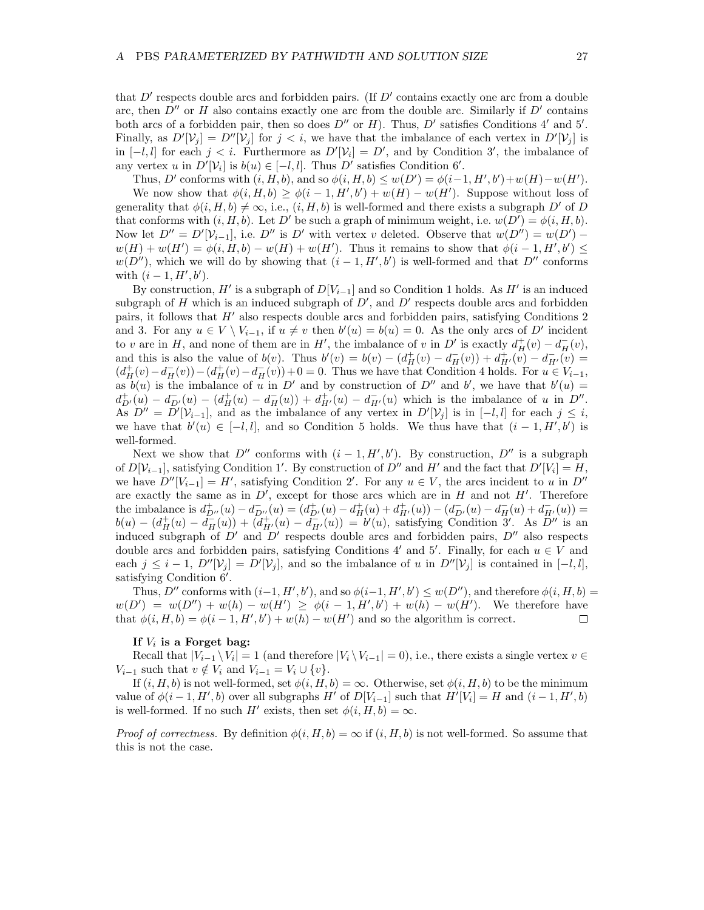that  $D'$  respects double arcs and forbidden pairs. (If  $D'$  contains exactly one arc from a double arc, then  $D''$  or H also contains exactly one arc from the double arc. Similarly if  $D'$  contains both arcs of a forbidden pair, then so does  $D''$  or H). Thus, D' satisfies Conditions 4' and 5'. Finally, as  $D'[\mathcal{V}_j] = D''[\mathcal{V}_j]$  for  $j < i$ , we have that the imbalance of each vertex in  $D'[\mathcal{V}_j]$  is in  $[-l, l]$  for each  $j < i$ . Furthermore as  $D'[V_i] = D'$ , and by Condition 3', the imbalance of any vertex u in  $D'[V_i]$  is  $b(u) \in [-l, l]$ . Thus D' satisfies Condition 6'.

Thus, D' conforms with  $(i, H, b)$ , and so  $\phi(i, H, b) \leq w(D') = \phi(i-1, H', b') + w(H) - w(H')$ . We now show that  $\phi(i, H, b) \geq \phi(i - 1, H', b') + w(H) - w(H')$ . Suppose without loss of generality that  $\phi(i, H, b) \neq \infty$ , i.e.,  $(i, H, b)$  is well-formed and there exists a subgraph D' of D that conforms with  $(i, H, b)$ . Let D' be such a graph of minimum weight, i.e.  $w(D') = \phi(i, H, b)$ . Now let  $D'' = D'[\mathcal{V}_{i-1}]$ , i.e.  $D''$  is  $D'$  with vertex v deleted. Observe that  $w(D'') = w(D') - w(D')$  $w(H) + w(H') = \phi(i, H, b) - w(H) + w(H')$ . Thus it remains to show that  $\phi(i-1, H', b') \le$  $w(D'')$ , which we will do by showing that  $(i-1, H', b')$  is well-formed and that  $D''$  conforms with  $(i - 1, H', b')$ .

By construction,  $H'$  is a subgraph of  $D[V_{i-1}]$  and so Condition 1 holds. As  $H'$  is an induced subgraph of H which is an induced subgraph of  $D'$ , and  $D'$  respects double arcs and forbidden pairs, it follows that  $H'$  also respects double arcs and forbidden pairs, satisfying Conditions 2 and 3. For any  $u \in V \setminus V_{i-1}$ , if  $u \neq v$  then  $b'(u) = b(u) = 0$ . As the only arcs of D' incident to v are in H, and none of them are in H', the imbalance of v in D' is exactly  $d^+_H(v) - d^-_H(v)$ , and this is also the value of  $b(v)$ . Thus  $b'(v) = b(v) - (d_H^+(v) - d_H^-(v)) + d_H^+(v) - d_H^-(v) =$  $(d^+_{H}(v) - d^-_{H}(v)) - (d^+_{H}(v) - d^-_{H}(v)) + 0 = 0$ . Thus we have that Condition 4 holds. For  $u \in V_{i-1}$ , as  $b(u)$  is the imbalance of u in D' and by construction of D'' and b', we have that  $b'(u) =$  $d_{D'}^+(u) - d_{D'}^-(u) - (d_H^+(u) - d_H^-(u)) + d_{H'}^+(u) - d_{H'}^-(u)$  which is the imbalance of u in  $D''$ . As  $D'' = D'[\mathcal{V}_{i-1}]$ , and as the imbalance of any vertex in  $D'[\mathcal{V}_j]$  is in  $[-l, l]$  for each  $j \leq i$ , we have that  $b'(u) \in [-l, l]$ , and so Condition 5 holds. We thus have that  $(i-1, H', b')$  is well-formed.

Next we show that D'' conforms with  $(i - 1, H', b')$ . By construction, D'' is a subgraph of  $D[V_{i-1}]$ , satisfying Condition 1'. By construction of  $D''$  and  $H'$  and the fact that  $D'[V_i] = H$ , we have  $D''[V_{i-1}] = H'$ , satisfying Condition 2'. For any  $u \in V$ , the arcs incident to u in  $D''$ are exactly the same as in  $D'$ , except for those arcs which are in  $H$  and not  $H'$ . Therefore the imbalance is  $d_{D''}^+(u) - d_{D''}^-(u) = (d_{D'}^+(u) - d_H^+(u) + d_{H'}^+(u)) - (d_{D'}^-(u) - d_H^-(u) + d_{H'}^-(u)) =$  $b(u)-(d_H^+(u)-\overline{d}_H^-(u))+\overline{(d}_H^+(u)-\overline{d}_H^-(u))=b'(u)$ , satisfying Condition 3'. As  $D''$  is an induced subgraph of  $D'$  and  $D'$  respects double arcs and forbidden pairs,  $D''$  also respects double arcs and forbidden pairs, satisfying Conditions 4' and 5'. Finally, for each  $u \in V$  and each  $j \leq i - 1$ ,  $D''[\mathcal{V}_j] = D'[\mathcal{V}_j]$ , and so the imbalance of u in  $D''[\mathcal{V}_j]$  is contained in  $[-l, l]$ , satisfying Condition  $6'$ .

Thus, D'' conforms with  $(i-1, H', b')$ , and so  $\phi(i-1, H', b') \leq w(D'')$ , and therefore  $\phi(i, H, b)$  =  $w(D') = w(D'') + w(h) - w(H') \ge \phi(i - 1, H', b') + w(h) - w(H')$ . We therefore have that  $\phi(i, H, b) = \phi(i - 1, H', b') + w(h) - w(H')$  and so the algorithm is correct. П

#### If  $V_i$  is a Forget bag:

Recall that  $|V_{i-1} \setminus V_i| = 1$  (and therefore  $|V_i \setminus V_{i-1}| = 0$ ), i.e., there exists a single vertex  $v \in$  $V_{i-1}$  such that  $v \notin V_i$  and  $V_{i-1} = V_i \cup \{v\}.$ 

If  $(i, H, b)$  is not well-formed, set  $\phi(i, H, b) = \infty$ . Otherwise, set  $\phi(i, H, b)$  to be the minimum value of  $\phi(i-1, H', b)$  over all subgraphs H' of  $D[V_{i-1}]$  such that  $H'[V_i] = H$  and  $(i-1, H', b)$ is well-formed. If no such H' exists, then set  $\phi(i, H, b) = \infty$ .

*Proof of correctness.* By definition  $\phi(i, H, b) = \infty$  if  $(i, H, b)$  is not well-formed. So assume that this is not the case.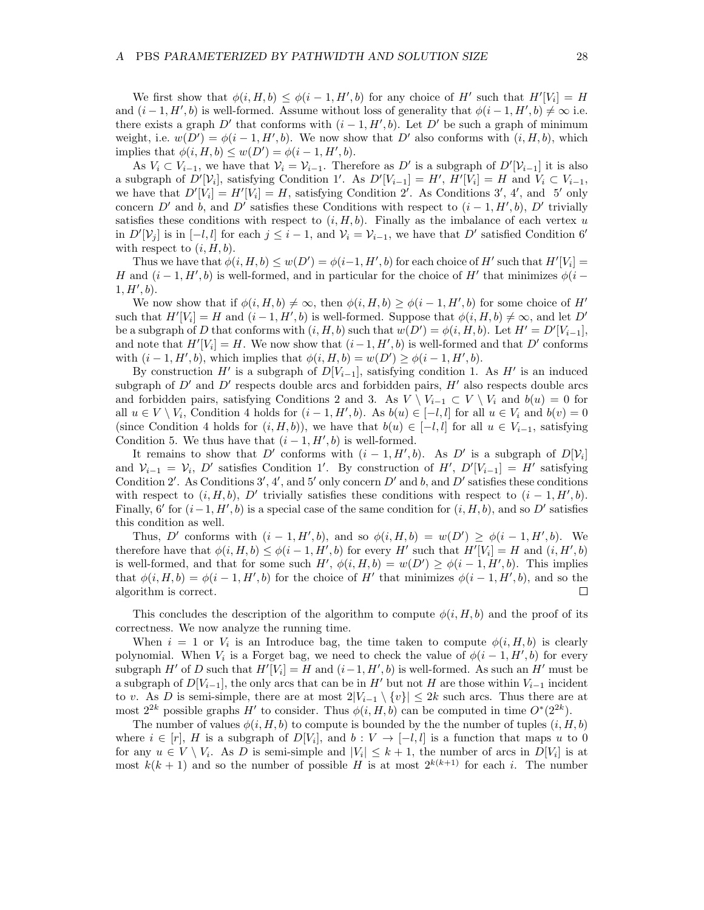We first show that  $\phi(i, H, b) \leq \phi(i - 1, H', b)$  for any choice of H' such that  $H'[V_i] = H'$ and  $(i-1, H', b)$  is well-formed. Assume without loss of generality that  $\phi(i-1, H', b) \neq \infty$  i.e. there exists a graph D' that conforms with  $(i-1, H', b)$ . Let D' be such a graph of minimum weight, i.e.  $w(D') = \phi(i-1, H', b)$ . We now show that D' also conforms with  $(i, H, b)$ , which implies that  $\phi(i, H, b) \leq w(D') = \phi(i - 1, H', b)$ .

As  $V_i \subset V_{i-1}$ , we have that  $V_i = V_{i-1}$ . Therefore as D' is a subgraph of  $D'[V_{i-1}]$  it is also a subgraph of  $D'[V_i]$ , satisfying Condition 1'. As  $D'[V_{i-1}] = H'$ ,  $H'[V_i] = H$  and  $V_i \subset V_{i-1}$ , we have that  $D'[V_i] = H'[V_i] = H$ , satisfying Condition 2'. As Conditions 3', 4', and 5' only concern D' and b, and D' satisfies these Conditions with respect to  $(i-1, H', b)$ , D' trivially satisfies these conditions with respect to  $(i, H, b)$ . Finally as the imbalance of each vertex u in  $D'[V_j]$  is in  $[-l, l]$  for each  $j \leq i - 1$ , and  $V_i = V_{i-1}$ , we have that  $D'$  satisfied Condition 6' with respect to  $(i, H, b)$ .

Thus we have that  $\phi(i, H, b) \le w(D') = \phi(i-1, H', b)$  for each choice of H' such that  $H'[V_i] =$ H and  $(i-1, H', b)$  is well-formed, and in particular for the choice of H' that minimizes  $\phi(i 1, H', b$ .

We now show that if  $\phi(i, H, b) \neq \infty$ , then  $\phi(i, H, b) \geq \phi(i - 1, H', b)$  for some choice of H' such that  $H'[V_i] = H$  and  $(i-1, H', b)$  is well-formed. Suppose that  $\phi(i, H, b) \neq \infty$ , and let D' be a subgraph of D that conforms with  $(i, H, b)$  such that  $w(D') = \phi(i, H, b)$ . Let  $H' = D'[V_{i-1}],$ and note that  $H'[V_i] = H$ . We now show that  $(i-1, H', b)$  is well-formed and that D' conforms with  $(i-1, H', b)$ , which implies that  $\phi(i, H, b) = w(D') \ge \phi(i-1, H', b)$ .

By construction  $H'$  is a subgraph of  $D[V_{i-1}]$ , satisfying condition 1. As  $H'$  is an induced subgraph of  $D'$  and  $D'$  respects double arcs and forbidden pairs,  $H'$  also respects double arcs and forbidden pairs, satisfying Conditions 2 and 3. As  $V \setminus V_{i-1} \subset V \setminus V_i$  and  $b(u) = 0$  for all  $u \in V \setminus V_i$ , Condition 4 holds for  $(i-1, H', b)$ . As  $b(u) \in [-l, l]$  for all  $u \in V_i$  and  $b(v) = 0$ (since Condition 4 holds for  $(i, H, b)$ ), we have that  $b(u) \in [-l, l]$  for all  $u \in V_{i-1}$ , satisfying Condition 5. We thus have that  $(i-1, H', b)$  is well-formed.

It remains to show that D' conforms with  $(i-1, H', b)$ . As D' is a subgraph of  $D[\mathcal{V}_i]$ and  $V_{i-1} = V_i$ , D' satisfies Condition 1'. By construction of H', D'[V<sub>i-1</sub>] = H' satisfying Condition 2'. As Conditions 3', 4', and 5' only concern  $D'$  and  $b$ , and  $D'$  satisfies these conditions with respect to  $(i, H, b)$ , D' trivially satisfies these conditions with respect to  $(i - 1, H', b)$ . Finally, 6' for  $(i-1, H', b)$  is a special case of the same condition for  $(i, H, b)$ , and so D' satisfies this condition as well.

Thus, D' conforms with  $(i-1, H', b)$ , and so  $\phi(i, H, b) = w(D') \ge \phi(i-1, H', b)$ . We therefore have that  $\phi(i, H, b) \leq \phi(i - 1, H', b)$  for every H' such that  $H'[V_i] = H$  and  $(i, H', b)$ is well-formed, and that for some such  $H'$ ,  $\phi(i, H, b) = w(D') \ge \phi(i - 1, H', b)$ . This implies that  $\phi(i, H, b) = \phi(i - 1, H', b)$  for the choice of H' that minimizes  $\phi(i - 1, H', b)$ , and so the algorithm is correct.  $\Box$ 

This concludes the description of the algorithm to compute  $\phi(i, H, b)$  and the proof of its correctness. We now analyze the running time.

When  $i = 1$  or  $V_i$  is an Introduce bag, the time taken to compute  $\phi(i, H, b)$  is clearly polynomial. When  $V_i$  is a Forget bag, we need to check the value of  $\phi(i-1, H', b)$  for every subgraph  $H'$  of D such that  $H'[V_i] = H$  and  $(i-1, H', b)$  is well-formed. As such an  $H'$  must be a subgraph of  $D[V_{i-1}]$ , the only arcs that can be in H' but not H are those within  $V_{i-1}$  incident to v. As D is semi-simple, there are at most  $2|V_{i-1} \setminus \{v\}| \leq 2k$  such arcs. Thus there are at most  $2^{2k}$  possible graphs H' to consider. Thus  $\phi(i, H, b)$  can be computed in time  $O^*(2^{2k})$ .

The number of values  $\phi(i, H, b)$  to compute is bounded by the the number of tuples  $(i, H, b)$ where  $i \in [r]$ , H is a subgraph of  $D[V_i]$ , and  $b: V \to [-l, l]$  is a function that maps u to 0 for any  $u \in V \setminus V_i$ . As D is semi-simple and  $|V_i| \leq k+1$ , the number of arcs in  $D[V_i]$  is at most  $k(k+1)$  and so the number of possible H is at most  $2^{k(k+1)}$  for each i. The number